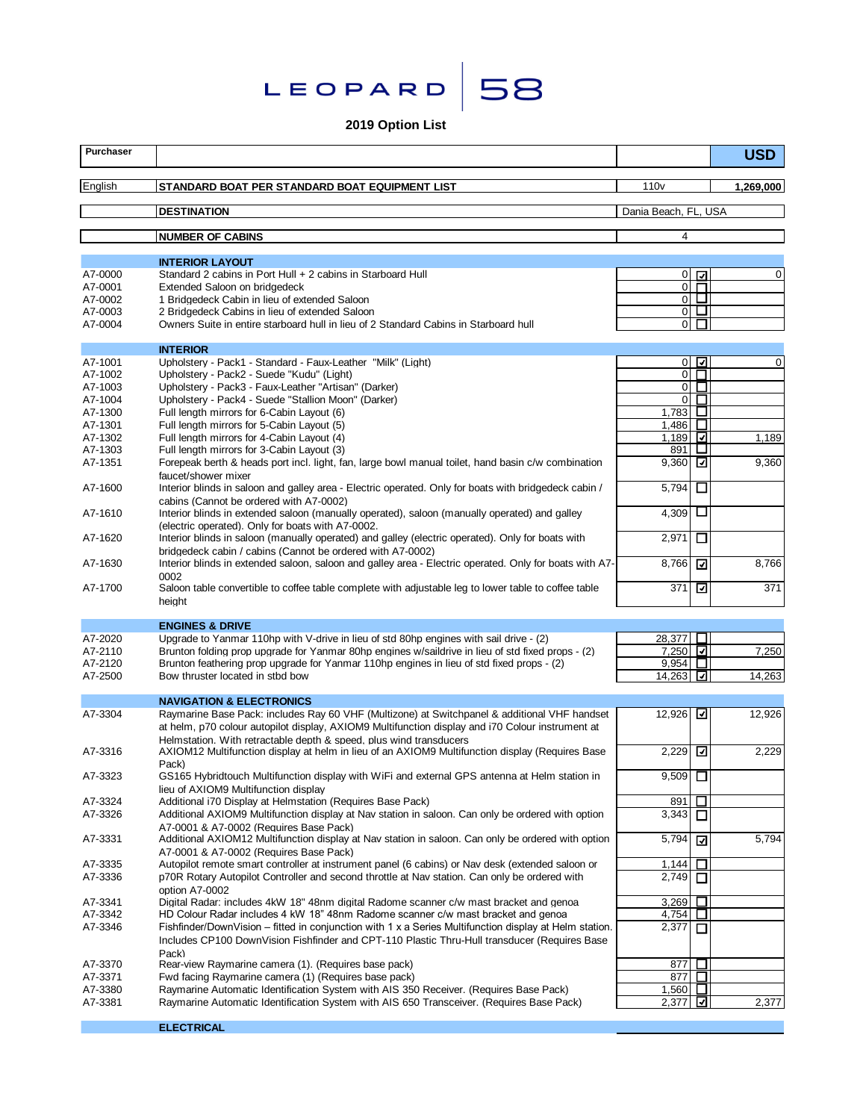



# **2019 Option List**

| Purchaser          |                                                                                                                                                                                                                                                                        |                      | <b>USD</b> |
|--------------------|------------------------------------------------------------------------------------------------------------------------------------------------------------------------------------------------------------------------------------------------------------------------|----------------------|------------|
| English            | STANDARD BOAT PER STANDARD BOAT EQUIPMENT LIST                                                                                                                                                                                                                         | 110 <sub>v</sub>     | 1,269,000  |
|                    | <b>DESTINATION</b>                                                                                                                                                                                                                                                     | Dania Beach, FL, USA |            |
|                    | <b>NUMBER OF CABINS</b>                                                                                                                                                                                                                                                | $\overline{4}$       |            |
|                    |                                                                                                                                                                                                                                                                        |                      |            |
| A7-0000            | <b>INTERIOR LAYOUT</b><br>Standard 2 cabins in Port Hull + 2 cabins in Starboard Hull                                                                                                                                                                                  | $0\sqrt{a}$          | 0          |
| A7-0001            | Extended Saloon on bridgedeck                                                                                                                                                                                                                                          | 0 <sup>1</sup>       |            |
| A7-0002            | 1 Bridgedeck Cabin in lieu of extended Saloon                                                                                                                                                                                                                          | $\circ$ $\Box$       |            |
| A7-0003            | 2 Bridgedeck Cabins in lieu of extended Saloon                                                                                                                                                                                                                         | 0 <sub>u</sub>       |            |
| A7-0004            | Owners Suite in entire starboard hull in lieu of 2 Standard Cabins in Starboard hull                                                                                                                                                                                   | $\overline{0}$<br>П  |            |
|                    | <b>INTERIOR</b>                                                                                                                                                                                                                                                        |                      |            |
| A7-1001            | Upholstery - Pack1 - Standard - Faux-Leather "Milk" (Light)                                                                                                                                                                                                            | $0\sqrt{2}$          | 0          |
| A7-1002            | Upholstery - Pack2 - Suede "Kudu" (Light)                                                                                                                                                                                                                              | $\overline{C}$       |            |
| A7-1003            | Upholstery - Pack3 - Faux-Leather "Artisan" (Darker)                                                                                                                                                                                                                   | $0\Box$              |            |
| A7-1004            | Upholstery - Pack4 - Suede "Stallion Moon" (Darker)                                                                                                                                                                                                                    | п<br>$\overline{0}$  |            |
| A7-1300            | Full length mirrors for 6-Cabin Layout (6)                                                                                                                                                                                                                             | 1,783 $\Box$         |            |
| A7-1301            | Full length mirrors for 5-Cabin Lavout (5)                                                                                                                                                                                                                             | □<br>1,486           |            |
| A7-1302            | Full length mirrors for 4-Cabin Layout (4)                                                                                                                                                                                                                             | 1,189 $\Box$         | 1,189      |
| A7-1303            | Full length mirrors for 3-Cabin Layout (3)                                                                                                                                                                                                                             | ⊔<br>891             |            |
| A7-1351            | Forepeak berth & heads port incl. light, fan, large bowl manual toilet, hand basin c/w combination<br>faucet/shower mixer                                                                                                                                              | 9,360 $\boxed{2}$    | 9,360      |
| A7-1600            | Interior blinds in saloon and galley area - Electric operated. Only for boats with bridgedeck cabin /<br>cabins (Cannot be ordered with A7-0002)                                                                                                                       | 5,794<br>□           |            |
| A7-1610            | Interior blinds in extended saloon (manually operated), saloon (manually operated) and galley<br>(electric operated). Only for boats with A7-0002.                                                                                                                     | 4,309<br>ப           |            |
| A7-1620            | Interior blinds in saloon (manually operated) and galley (electric operated). Only for boats with<br>bridgedeck cabin / cabins (Cannot be ordered with A7-0002)                                                                                                        | 2,971<br>ப           |            |
| A7-1630            | Interior blinds in extended saloon, saloon and galley area - Electric operated. Only for boats with A7-<br>0002                                                                                                                                                        | 8,766<br>⊡           | 8,766      |
| A7-1700            | Saloon table convertible to coffee table complete with adjustable leg to lower table to coffee table<br>height                                                                                                                                                         | ⊡<br>371             | 371        |
|                    |                                                                                                                                                                                                                                                                        |                      |            |
| A7-2020            | <b>ENGINES &amp; DRIVE</b><br>Upgrade to Yanmar 110hp with V-drive in lieu of std 80hp engines with sail drive - (2)                                                                                                                                                   | 28,377 ∐             |            |
| A7-2110            | Brunton folding prop upgrade for Yanmar 80hp engines w/saildrive in lieu of std fixed props - (2)                                                                                                                                                                      | 7,250                | 7,250      |
| A7-2120            | Brunton feathering prop upgrade for Yanmar 110hp engines in lieu of std fixed props - (2)                                                                                                                                                                              | 9,954 $\Box$         |            |
| A7-2500            | Bow thruster located in stbd bow                                                                                                                                                                                                                                       | 14,263 ⊡             | 14,263     |
|                    |                                                                                                                                                                                                                                                                        |                      |            |
|                    | <b>NAVIGATION &amp; ELECTRONICS</b>                                                                                                                                                                                                                                    |                      |            |
| A7-3304            | Raymarine Base Pack: includes Ray 60 VHF (Multizone) at Switchpanel & additional VHF handset<br>at helm, p70 colour autopilot display, AXIOM9 Multifunction display and i70 Colour instrument at<br>Helmstation. With retractable depth & speed. plus wind transducers | 12,926 고             | 12,926     |
| A7-3316            | AXIOM12 Multifunction display at helm in lieu of an AXIOM9 Multifunction display (Requires Base<br>Pack)                                                                                                                                                               | 2,229                | 2,229      |
| A7-3323            | GS165 Hybridtouch Multifunction display with WiFi and external GPS antenna at Helm station in<br>lieu of AXIOM9 Multifunction display                                                                                                                                  | 9,509 $\Box$         |            |
| A7-3324            | Additional i70 Display at Helmstation (Requires Base Pack)                                                                                                                                                                                                             | 891<br>$\Box$        |            |
| A7-3326            | Additional AXIOM9 Multifunction display at Nav station in saloon. Can only be ordered with option<br>A7-0001 & A7-0002 (Requires Base Pack)                                                                                                                            | 3,343<br>П           |            |
| A7-3331            | Additional AXIOM12 Multifunction display at Nav station in saloon. Can only be ordered with option<br>A7-0001 & A7-0002 (Requires Base Pack)                                                                                                                           | 5,794<br>⊡           | 5,794      |
| A7-3335            | Autopilot remote smart controller at instrument panel (6 cabins) or Nav desk (extended saloon or                                                                                                                                                                       | 1,144<br>ப           |            |
| A7-3336            | p70R Rotary Autopilot Controller and second throttle at Nav station. Can only be ordered with<br>option A7-0002                                                                                                                                                        | 2,749<br>□           |            |
| A7-3341            | Digital Radar: includes 4kW 18" 48nm digital Radome scanner c/w mast bracket and genoa                                                                                                                                                                                 | □<br>3,269           |            |
| A7-3342            | HD Colour Radar includes 4 kW 18" 48nm Radome scanner c/w mast bracket and genoa                                                                                                                                                                                       | $\Box$<br>4,754      |            |
| A7-3346            | Fishfinder/DownVision – fitted in conjunction with 1 x a Series Multifunction display at Helm station.<br>Includes CP100 DownVision Fishfinder and CPT-110 Plastic Thru-Hull transducer (Requires Base                                                                 | 2,377<br>□           |            |
|                    | Pack)                                                                                                                                                                                                                                                                  |                      |            |
| A7-3370<br>A7-3371 | Rear-view Raymarine camera (1). (Requires base pack)<br>Fwd facing Raymarine camera (1) (Requires base pack)                                                                                                                                                           | 877<br>ப<br>877<br>ப |            |
| A7-3380            | Raymarine Automatic Identification System with AIS 350 Receiver. (Requires Base Pack)                                                                                                                                                                                  | 1,560<br>ப           |            |
| A7-3381            | Raymarine Automatic Identification System with AIS 650 Transceiver. (Requires Base Pack)                                                                                                                                                                               | ⊡<br>2,377           | 2,377      |
|                    |                                                                                                                                                                                                                                                                        |                      |            |

**ELECTRICAL**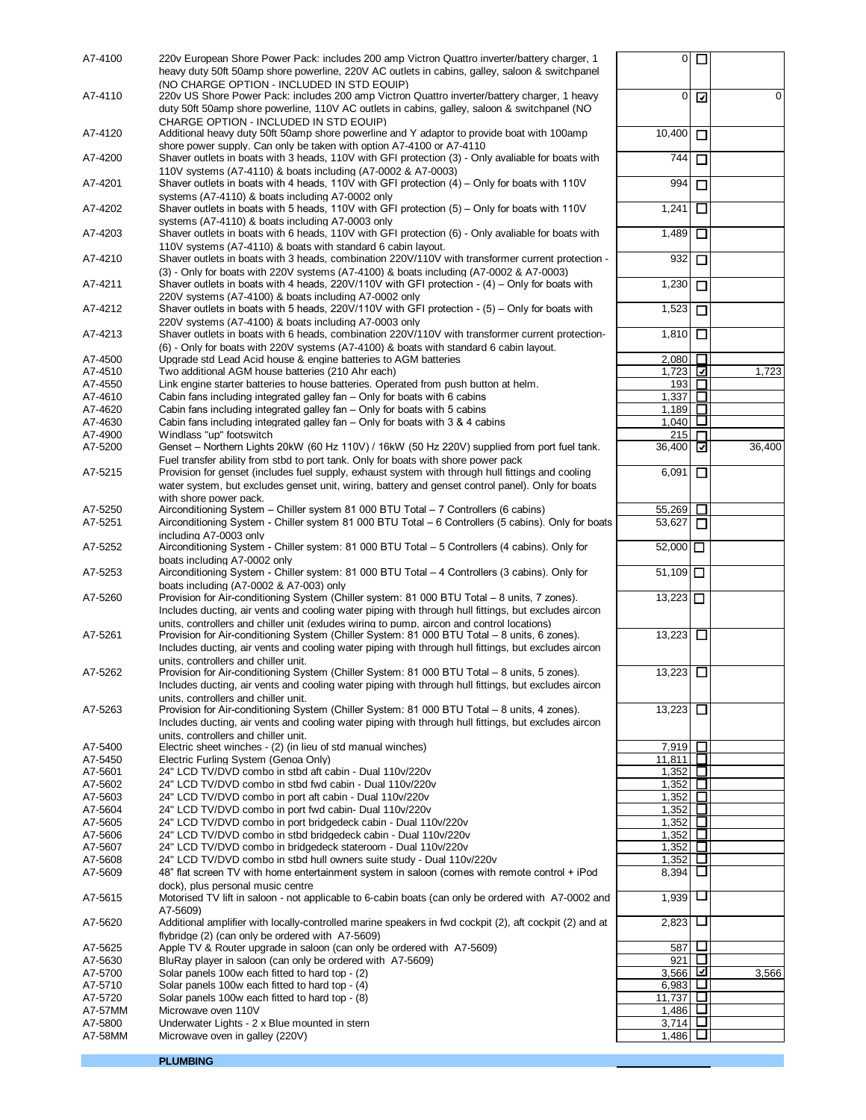| (NO CHARGE OPTION - INCLUDED IN STD EQUIP)<br>0<br>220v US Shore Power Pack: includes 200 amp Victron Quattro inverter/battery charger, 1 heavy<br>☑<br>0<br>duty 50ft 50amp shore powerline, 110V AC outlets in cabins, galley, saloon & switchpanel (NO<br>CHARGE OPTION - INCLUDED IN STD EQUIP)<br>10,400<br>Additional heavy duty 50ft 50amp shore powerline and Y adaptor to provide boat with 100amp<br>A7-4120<br>□<br>shore power supply. Can only be taken with option A7-4100 or A7-4110<br>A7-4200<br>Shaver outlets in boats with 3 heads, 110V with GFI protection (3) - Only avaliable for boats with<br>744<br>□<br>110V systems (A7-4110) & boats including (A7-0002 & A7-0003)<br>994<br>Shaver outlets in boats with 4 heads, 110V with GFI protection $(4)$ – Only for boats with 110V<br>□<br>systems (A7-4110) & boats including A7-0002 only<br>A7-4202<br>Shaver outlets in boats with 5 heads, 110V with GFI protection $(5)$ – Only for boats with 110V<br>1,241<br>$\Box$<br>systems (A7-4110) & boats including A7-0003 only<br>Shaver outlets in boats with 6 heads, 110V with GFI protection (6) - Only avaliable for boats with<br>1,489<br>A7-4203<br>□<br>110V systems (A7-4110) & boats with standard 6 cabin layout.<br>932<br>A7-4210<br>Shaver outlets in boats with 3 heads, combination 220V/110V with transformer current protection -<br>□<br>(3) - Only for boats with 220V systems (A7-4100) & boats including (A7-0002 & A7-0003)<br>Shaver outlets in boats with 4 heads, 220V/110V with GFI protection - $(4)$ – Only for boats with<br>1,230<br>$\Box$<br>220V systems (A7-4100) & boats including A7-0002 only<br>Shaver outlets in boats with 5 heads, 220V/110V with GFI protection - $(5)$ – Only for boats with<br>1,523<br>□<br>220V systems (A7-4100) & boats including A7-0003 only<br>□<br>A7-4213<br>Shaver outlets in boats with 6 heads, combination 220V/110V with transformer current protection-<br>1.810<br>(6) - Only for boats with 220V systems (A7-4100) & boats with standard 6 cabin layout.<br>Upgrade std Lead Acid house & engine batteries to AGM batteries<br>□<br>A7-4500<br>2,080<br>Two additional AGM house batteries (210 Ahr each)<br>1,723<br>⊡<br>1,723<br>A7-4510<br>Link engine starter batteries to house batteries. Operated from push button at helm.<br>□<br>193<br>1,337<br>$\Box$<br>Cabin fans including integrated galley fan - Only for boats with 6 cabins<br>Cabin fans including integrated galley fan - Only for boats with 5 cabins<br>1,189<br>$\Box$<br>$1,040$ $\Box$<br>Cabin fans including integrated galley fan - Only for boats with 3 & 4 cabins<br>A7-4630<br>Windlass "up" footswitch<br>215<br>A7-4900<br>п<br>36,400<br>A7-5200<br>Genset - Northern Lights 20kW (60 Hz 110V) / 16kW (50 Hz 220V) supplied from port fuel tank.<br>36,400<br>⊡<br>Fuel transfer ability from stbd to port tank. Only for boats with shore power pack<br>A7-5215<br>Provision for genset (includes fuel supply, exhaust system with through hull fittings and cooling<br>6,091<br>□<br>water system, but excludes genset unit, wiring, battery and genset control panel). Only for boats<br>with shore power pack.<br>Airconditioning System - Chiller system 81 000 BTU Total - 7 Controllers (6 cabins)<br>55,269<br>□<br>Airconditioning System - Chiller system 81 000 BTU Total - 6 Controllers (5 cabins). Only for boats<br>53,627<br>□<br>including A7-0003 only<br>Airconditioning System - Chiller system: 81 000 BTU Total - 5 Controllers (4 cabins). Only for<br>52,000 囗<br>A7-5252<br>boats including A7-0002 only<br>51,109 $\Box$<br>A7-5253<br>Airconditioning System - Chiller system: 81 000 BTU Total - 4 Controllers (3 cabins). Only for<br>boats including (A7-0002 & A7-003) only<br>Provision for Air-conditioning System (Chiller system: 81 000 BTU Total - 8 units, 7 zones).<br>13,223<br>A7-5260<br>Includes ducting, air vents and cooling water piping with through hull fittings, but excludes aircon<br>units. controllers and chiller unit (exludes wiring to pump. aircon and control locations)<br>Provision for Air-conditioning System (Chiller System: 81 000 BTU Total - 8 units, 6 zones).<br>13,223<br>□<br>A7-5261<br>Includes ducting, air vents and cooling water piping with through hull fittings, but excludes aircon<br>units. controllers and chiller unit.<br>13,223<br>Provision for Air-conditioning System (Chiller System: 81 000 BTU Total - 8 units, 5 zones).<br>A7-5262<br>Includes ducting, air vents and cooling water piping with through hull fittings, but excludes aircon<br>units. controllers and chiller unit.<br>13,223<br>Provision for Air-conditioning System (Chiller System: 81 000 BTU Total - 8 units, 4 zones).<br>$\Box$<br>Includes ducting, air vents and cooling water piping with through hull fittings, but excludes aircon<br>units. controllers and chiller unit.<br>7,919<br>A7-5400<br>Electric sheet winches - (2) (in lieu of std manual winches)<br>$\Box$<br>$\Box$<br>A7-5450<br>Electric Furling System (Genoa Only)<br>11,811<br>$\Box$<br>A7-5601<br>1,352<br>24" LCD TV/DVD combo in stbd aft cabin - Dual 110v/220v<br>□<br>A7-5602<br>24" LCD TV/DVD combo in stbd fwd cabin - Dual 110v/220v<br>1,352<br>$\Box$<br>A7-5603<br>1,352<br>24" LCD TV/DVD combo in port aft cabin - Dual 110v/220v<br>1,352<br>Ш<br>24" LCD TV/DVD combo in port fwd cabin- Dual 110v/220v<br>口<br>1,352<br>24" LCD TV/DVD combo in port bridgedeck cabin - Dual 110v/220v<br>1,352<br>□<br>A7-5606<br>24" LCD TV/DVD combo in stbd bridgedeck cabin - Dual 110v/220v<br>□<br>A7-5607<br>1.352<br>24" LCD TV/DVD combo in bridgedeck stateroom - Dual 110v/220v<br>ப<br>A7-5608<br>24" LCD TV/DVD combo in stbd hull owners suite study - Dual 110v/220v<br>1,352<br>⊔<br>A7-5609<br>8,394<br>48" flat screen TV with home entertainment system in saloon (comes with remote control + iPod<br>dock), plus personal music centre<br>ப<br>Motorised TV lift in saloon - not applicable to 6-cabin boats (can only be ordered with A7-0002 and<br>1,939<br>A7-5609)<br>ப<br>2,823<br>A7-5620<br>Additional amplifier with locally-controlled marine speakers in fwd cockpit (2), aft cockpit (2) and at<br>flybridge (2) (can only be ordered with A7-5609)<br>Apple TV & Router upgrade in saloon (can only be ordered with A7-5609)<br>587<br>ப<br>A7-5625<br>$\Box$<br>921<br>A7-5630<br>BluRay player in saloon (can only be ordered with A7-5609)<br>☑<br>A7-5700<br>Solar panels 100w each fitted to hard top - (2)<br>3,566<br>3,566<br>ப<br>A7-5710<br>Solar panels 100w each fitted to hard top - (4)<br>6,983<br>$\Box$<br>11,737<br>A7-5720<br>Solar panels 100w each fitted to hard top - (8)<br>□<br>1,486<br>A7-57MM<br>Microwave oven 110V<br>Ц<br>A7-5800<br>Underwater Lights - 2 x Blue mounted in stern<br>3,714<br>□.<br>1,486<br>A7-58MM<br>Microwave oven in galley (220V) | A7-4100 | 220v European Shore Power Pack: includes 200 amp Victron Quattro inverter/battery charger, 1<br>heavy duty 50ft 50amp shore powerline, 220V AC outlets in cabins, galley, saloon & switchpanel | 0 <sub>0</sub> |  |
|-------------------------------------------------------------------------------------------------------------------------------------------------------------------------------------------------------------------------------------------------------------------------------------------------------------------------------------------------------------------------------------------------------------------------------------------------------------------------------------------------------------------------------------------------------------------------------------------------------------------------------------------------------------------------------------------------------------------------------------------------------------------------------------------------------------------------------------------------------------------------------------------------------------------------------------------------------------------------------------------------------------------------------------------------------------------------------------------------------------------------------------------------------------------------------------------------------------------------------------------------------------------------------------------------------------------------------------------------------------------------------------------------------------------------------------------------------------------------------------------------------------------------------------------------------------------------------------------------------------------------------------------------------------------------------------------------------------------------------------------------------------------------------------------------------------------------------------------------------------------------------------------------------------------------------------------------------------------------------------------------------------------------------------------------------------------------------------------------------------------------------------------------------------------------------------------------------------------------------------------------------------------------------------------------------------------------------------------------------------------------------------------------------------------------------------------------------------------------------------------------------------------------------------------------------------------------------------------------------------------------------------------------------------------------------------------------------------------------------------------------------------------------------------------------------------------------------------------------------------------------------------------------------------------------------------------------------------------------------------------------------------------------------------------------------------------------------------------------------------------------------------------------------------------------------------------------------------------------------------------------------------------------------------------------------------------------------------------------------------------------------------------------------------------------------------------------------------------------------------------------------------------------------------------------------------------------------------------------------------------------------------------------------------------------------------------------------------------------------------------------------------------------------------------------------------------------------------------------------------------------------------------------------------------------------------------------------------------------------------------------------------------------------------------------------------------------------------------------------------------------------------------------------------------------------------------------------------------------------------------------------------------------------------------------------------------------------------------------------------------------------------------------------------------------------------------------------------------------------------------------------------------------------------------------------------------------------------------------------------------------------------------------------------------------------------------------------------------------------------------------------------------------------------------------------------------------------------------------------------------------------------------------------------------------------------------------------------------------------------------------------------------------------------------------------------------------------------------------------------------------------------------------------------------------------------------------------------------------------------------------------------------------------------------------------------------------------------------------------------------------------------------------------------------------------------------------------------------------------------------------------------------------------------------------------------------------------------------------------------------------------------------------------------------------------------------------------------------------------------------------------------------------------------------------------------------------------------------------------------------------------------------------------------------------------------------------------------------------------------------------------------------------------------------------------------------------------------------------------------------------------------------------------------------------------------------------------------------------------------------------------------------------------------------------------------------------------------------------------------------------------------------------------------------------------------------------------------------------------------------------------------------------------------------------------------------------------------------------------------------------------------------------------------------------------------------------------------------------------------------------------------------------------------------------------------------------------------------------------------------------------------------------------------------------------------------------------------------------------|---------|------------------------------------------------------------------------------------------------------------------------------------------------------------------------------------------------|----------------|--|
|                                                                                                                                                                                                                                                                                                                                                                                                                                                                                                                                                                                                                                                                                                                                                                                                                                                                                                                                                                                                                                                                                                                                                                                                                                                                                                                                                                                                                                                                                                                                                                                                                                                                                                                                                                                                                                                                                                                                                                                                                                                                                                                                                                                                                                                                                                                                                                                                                                                                                                                                                                                                                                                                                                                                                                                                                                                                                                                                                                                                                                                                                                                                                                                                                                                                                                                                                                                                                                                                                                                                                                                                                                                                                                                                                                                                                                                                                                                                                                                                                                                                                                                                                                                                                                                                                                                                                                                                                                                                                                                                                                                                                                                                                                                                                                                                                                                                                                                                                                                                                                                                                                                                                                                                                                                                                                                                                                                                                                                                                                                                                                                                                                                                                                                                                                                                                                                                                                                                                                                                                                                                                                                                                                                                                                                                                                                                                                                                                                                                                                                                                                                                                                                                                                                                                                                                                                                                                                                                                                               |         |                                                                                                                                                                                                |                |  |
|                                                                                                                                                                                                                                                                                                                                                                                                                                                                                                                                                                                                                                                                                                                                                                                                                                                                                                                                                                                                                                                                                                                                                                                                                                                                                                                                                                                                                                                                                                                                                                                                                                                                                                                                                                                                                                                                                                                                                                                                                                                                                                                                                                                                                                                                                                                                                                                                                                                                                                                                                                                                                                                                                                                                                                                                                                                                                                                                                                                                                                                                                                                                                                                                                                                                                                                                                                                                                                                                                                                                                                                                                                                                                                                                                                                                                                                                                                                                                                                                                                                                                                                                                                                                                                                                                                                                                                                                                                                                                                                                                                                                                                                                                                                                                                                                                                                                                                                                                                                                                                                                                                                                                                                                                                                                                                                                                                                                                                                                                                                                                                                                                                                                                                                                                                                                                                                                                                                                                                                                                                                                                                                                                                                                                                                                                                                                                                                                                                                                                                                                                                                                                                                                                                                                                                                                                                                                                                                                                                               | A7-4110 |                                                                                                                                                                                                |                |  |
|                                                                                                                                                                                                                                                                                                                                                                                                                                                                                                                                                                                                                                                                                                                                                                                                                                                                                                                                                                                                                                                                                                                                                                                                                                                                                                                                                                                                                                                                                                                                                                                                                                                                                                                                                                                                                                                                                                                                                                                                                                                                                                                                                                                                                                                                                                                                                                                                                                                                                                                                                                                                                                                                                                                                                                                                                                                                                                                                                                                                                                                                                                                                                                                                                                                                                                                                                                                                                                                                                                                                                                                                                                                                                                                                                                                                                                                                                                                                                                                                                                                                                                                                                                                                                                                                                                                                                                                                                                                                                                                                                                                                                                                                                                                                                                                                                                                                                                                                                                                                                                                                                                                                                                                                                                                                                                                                                                                                                                                                                                                                                                                                                                                                                                                                                                                                                                                                                                                                                                                                                                                                                                                                                                                                                                                                                                                                                                                                                                                                                                                                                                                                                                                                                                                                                                                                                                                                                                                                                                               |         |                                                                                                                                                                                                |                |  |
|                                                                                                                                                                                                                                                                                                                                                                                                                                                                                                                                                                                                                                                                                                                                                                                                                                                                                                                                                                                                                                                                                                                                                                                                                                                                                                                                                                                                                                                                                                                                                                                                                                                                                                                                                                                                                                                                                                                                                                                                                                                                                                                                                                                                                                                                                                                                                                                                                                                                                                                                                                                                                                                                                                                                                                                                                                                                                                                                                                                                                                                                                                                                                                                                                                                                                                                                                                                                                                                                                                                                                                                                                                                                                                                                                                                                                                                                                                                                                                                                                                                                                                                                                                                                                                                                                                                                                                                                                                                                                                                                                                                                                                                                                                                                                                                                                                                                                                                                                                                                                                                                                                                                                                                                                                                                                                                                                                                                                                                                                                                                                                                                                                                                                                                                                                                                                                                                                                                                                                                                                                                                                                                                                                                                                                                                                                                                                                                                                                                                                                                                                                                                                                                                                                                                                                                                                                                                                                                                                                               |         |                                                                                                                                                                                                |                |  |
|                                                                                                                                                                                                                                                                                                                                                                                                                                                                                                                                                                                                                                                                                                                                                                                                                                                                                                                                                                                                                                                                                                                                                                                                                                                                                                                                                                                                                                                                                                                                                                                                                                                                                                                                                                                                                                                                                                                                                                                                                                                                                                                                                                                                                                                                                                                                                                                                                                                                                                                                                                                                                                                                                                                                                                                                                                                                                                                                                                                                                                                                                                                                                                                                                                                                                                                                                                                                                                                                                                                                                                                                                                                                                                                                                                                                                                                                                                                                                                                                                                                                                                                                                                                                                                                                                                                                                                                                                                                                                                                                                                                                                                                                                                                                                                                                                                                                                                                                                                                                                                                                                                                                                                                                                                                                                                                                                                                                                                                                                                                                                                                                                                                                                                                                                                                                                                                                                                                                                                                                                                                                                                                                                                                                                                                                                                                                                                                                                                                                                                                                                                                                                                                                                                                                                                                                                                                                                                                                                                               |         |                                                                                                                                                                                                |                |  |
|                                                                                                                                                                                                                                                                                                                                                                                                                                                                                                                                                                                                                                                                                                                                                                                                                                                                                                                                                                                                                                                                                                                                                                                                                                                                                                                                                                                                                                                                                                                                                                                                                                                                                                                                                                                                                                                                                                                                                                                                                                                                                                                                                                                                                                                                                                                                                                                                                                                                                                                                                                                                                                                                                                                                                                                                                                                                                                                                                                                                                                                                                                                                                                                                                                                                                                                                                                                                                                                                                                                                                                                                                                                                                                                                                                                                                                                                                                                                                                                                                                                                                                                                                                                                                                                                                                                                                                                                                                                                                                                                                                                                                                                                                                                                                                                                                                                                                                                                                                                                                                                                                                                                                                                                                                                                                                                                                                                                                                                                                                                                                                                                                                                                                                                                                                                                                                                                                                                                                                                                                                                                                                                                                                                                                                                                                                                                                                                                                                                                                                                                                                                                                                                                                                                                                                                                                                                                                                                                                                               |         |                                                                                                                                                                                                |                |  |
|                                                                                                                                                                                                                                                                                                                                                                                                                                                                                                                                                                                                                                                                                                                                                                                                                                                                                                                                                                                                                                                                                                                                                                                                                                                                                                                                                                                                                                                                                                                                                                                                                                                                                                                                                                                                                                                                                                                                                                                                                                                                                                                                                                                                                                                                                                                                                                                                                                                                                                                                                                                                                                                                                                                                                                                                                                                                                                                                                                                                                                                                                                                                                                                                                                                                                                                                                                                                                                                                                                                                                                                                                                                                                                                                                                                                                                                                                                                                                                                                                                                                                                                                                                                                                                                                                                                                                                                                                                                                                                                                                                                                                                                                                                                                                                                                                                                                                                                                                                                                                                                                                                                                                                                                                                                                                                                                                                                                                                                                                                                                                                                                                                                                                                                                                                                                                                                                                                                                                                                                                                                                                                                                                                                                                                                                                                                                                                                                                                                                                                                                                                                                                                                                                                                                                                                                                                                                                                                                                                               |         |                                                                                                                                                                                                |                |  |
|                                                                                                                                                                                                                                                                                                                                                                                                                                                                                                                                                                                                                                                                                                                                                                                                                                                                                                                                                                                                                                                                                                                                                                                                                                                                                                                                                                                                                                                                                                                                                                                                                                                                                                                                                                                                                                                                                                                                                                                                                                                                                                                                                                                                                                                                                                                                                                                                                                                                                                                                                                                                                                                                                                                                                                                                                                                                                                                                                                                                                                                                                                                                                                                                                                                                                                                                                                                                                                                                                                                                                                                                                                                                                                                                                                                                                                                                                                                                                                                                                                                                                                                                                                                                                                                                                                                                                                                                                                                                                                                                                                                                                                                                                                                                                                                                                                                                                                                                                                                                                                                                                                                                                                                                                                                                                                                                                                                                                                                                                                                                                                                                                                                                                                                                                                                                                                                                                                                                                                                                                                                                                                                                                                                                                                                                                                                                                                                                                                                                                                                                                                                                                                                                                                                                                                                                                                                                                                                                                                               | A7-4201 |                                                                                                                                                                                                |                |  |
|                                                                                                                                                                                                                                                                                                                                                                                                                                                                                                                                                                                                                                                                                                                                                                                                                                                                                                                                                                                                                                                                                                                                                                                                                                                                                                                                                                                                                                                                                                                                                                                                                                                                                                                                                                                                                                                                                                                                                                                                                                                                                                                                                                                                                                                                                                                                                                                                                                                                                                                                                                                                                                                                                                                                                                                                                                                                                                                                                                                                                                                                                                                                                                                                                                                                                                                                                                                                                                                                                                                                                                                                                                                                                                                                                                                                                                                                                                                                                                                                                                                                                                                                                                                                                                                                                                                                                                                                                                                                                                                                                                                                                                                                                                                                                                                                                                                                                                                                                                                                                                                                                                                                                                                                                                                                                                                                                                                                                                                                                                                                                                                                                                                                                                                                                                                                                                                                                                                                                                                                                                                                                                                                                                                                                                                                                                                                                                                                                                                                                                                                                                                                                                                                                                                                                                                                                                                                                                                                                                               |         |                                                                                                                                                                                                |                |  |
|                                                                                                                                                                                                                                                                                                                                                                                                                                                                                                                                                                                                                                                                                                                                                                                                                                                                                                                                                                                                                                                                                                                                                                                                                                                                                                                                                                                                                                                                                                                                                                                                                                                                                                                                                                                                                                                                                                                                                                                                                                                                                                                                                                                                                                                                                                                                                                                                                                                                                                                                                                                                                                                                                                                                                                                                                                                                                                                                                                                                                                                                                                                                                                                                                                                                                                                                                                                                                                                                                                                                                                                                                                                                                                                                                                                                                                                                                                                                                                                                                                                                                                                                                                                                                                                                                                                                                                                                                                                                                                                                                                                                                                                                                                                                                                                                                                                                                                                                                                                                                                                                                                                                                                                                                                                                                                                                                                                                                                                                                                                                                                                                                                                                                                                                                                                                                                                                                                                                                                                                                                                                                                                                                                                                                                                                                                                                                                                                                                                                                                                                                                                                                                                                                                                                                                                                                                                                                                                                                                               |         |                                                                                                                                                                                                |                |  |
|                                                                                                                                                                                                                                                                                                                                                                                                                                                                                                                                                                                                                                                                                                                                                                                                                                                                                                                                                                                                                                                                                                                                                                                                                                                                                                                                                                                                                                                                                                                                                                                                                                                                                                                                                                                                                                                                                                                                                                                                                                                                                                                                                                                                                                                                                                                                                                                                                                                                                                                                                                                                                                                                                                                                                                                                                                                                                                                                                                                                                                                                                                                                                                                                                                                                                                                                                                                                                                                                                                                                                                                                                                                                                                                                                                                                                                                                                                                                                                                                                                                                                                                                                                                                                                                                                                                                                                                                                                                                                                                                                                                                                                                                                                                                                                                                                                                                                                                                                                                                                                                                                                                                                                                                                                                                                                                                                                                                                                                                                                                                                                                                                                                                                                                                                                                                                                                                                                                                                                                                                                                                                                                                                                                                                                                                                                                                                                                                                                                                                                                                                                                                                                                                                                                                                                                                                                                                                                                                                                               |         |                                                                                                                                                                                                |                |  |
|                                                                                                                                                                                                                                                                                                                                                                                                                                                                                                                                                                                                                                                                                                                                                                                                                                                                                                                                                                                                                                                                                                                                                                                                                                                                                                                                                                                                                                                                                                                                                                                                                                                                                                                                                                                                                                                                                                                                                                                                                                                                                                                                                                                                                                                                                                                                                                                                                                                                                                                                                                                                                                                                                                                                                                                                                                                                                                                                                                                                                                                                                                                                                                                                                                                                                                                                                                                                                                                                                                                                                                                                                                                                                                                                                                                                                                                                                                                                                                                                                                                                                                                                                                                                                                                                                                                                                                                                                                                                                                                                                                                                                                                                                                                                                                                                                                                                                                                                                                                                                                                                                                                                                                                                                                                                                                                                                                                                                                                                                                                                                                                                                                                                                                                                                                                                                                                                                                                                                                                                                                                                                                                                                                                                                                                                                                                                                                                                                                                                                                                                                                                                                                                                                                                                                                                                                                                                                                                                                                               |         |                                                                                                                                                                                                |                |  |
|                                                                                                                                                                                                                                                                                                                                                                                                                                                                                                                                                                                                                                                                                                                                                                                                                                                                                                                                                                                                                                                                                                                                                                                                                                                                                                                                                                                                                                                                                                                                                                                                                                                                                                                                                                                                                                                                                                                                                                                                                                                                                                                                                                                                                                                                                                                                                                                                                                                                                                                                                                                                                                                                                                                                                                                                                                                                                                                                                                                                                                                                                                                                                                                                                                                                                                                                                                                                                                                                                                                                                                                                                                                                                                                                                                                                                                                                                                                                                                                                                                                                                                                                                                                                                                                                                                                                                                                                                                                                                                                                                                                                                                                                                                                                                                                                                                                                                                                                                                                                                                                                                                                                                                                                                                                                                                                                                                                                                                                                                                                                                                                                                                                                                                                                                                                                                                                                                                                                                                                                                                                                                                                                                                                                                                                                                                                                                                                                                                                                                                                                                                                                                                                                                                                                                                                                                                                                                                                                                                               |         |                                                                                                                                                                                                |                |  |
|                                                                                                                                                                                                                                                                                                                                                                                                                                                                                                                                                                                                                                                                                                                                                                                                                                                                                                                                                                                                                                                                                                                                                                                                                                                                                                                                                                                                                                                                                                                                                                                                                                                                                                                                                                                                                                                                                                                                                                                                                                                                                                                                                                                                                                                                                                                                                                                                                                                                                                                                                                                                                                                                                                                                                                                                                                                                                                                                                                                                                                                                                                                                                                                                                                                                                                                                                                                                                                                                                                                                                                                                                                                                                                                                                                                                                                                                                                                                                                                                                                                                                                                                                                                                                                                                                                                                                                                                                                                                                                                                                                                                                                                                                                                                                                                                                                                                                                                                                                                                                                                                                                                                                                                                                                                                                                                                                                                                                                                                                                                                                                                                                                                                                                                                                                                                                                                                                                                                                                                                                                                                                                                                                                                                                                                                                                                                                                                                                                                                                                                                                                                                                                                                                                                                                                                                                                                                                                                                                                               |         |                                                                                                                                                                                                |                |  |
|                                                                                                                                                                                                                                                                                                                                                                                                                                                                                                                                                                                                                                                                                                                                                                                                                                                                                                                                                                                                                                                                                                                                                                                                                                                                                                                                                                                                                                                                                                                                                                                                                                                                                                                                                                                                                                                                                                                                                                                                                                                                                                                                                                                                                                                                                                                                                                                                                                                                                                                                                                                                                                                                                                                                                                                                                                                                                                                                                                                                                                                                                                                                                                                                                                                                                                                                                                                                                                                                                                                                                                                                                                                                                                                                                                                                                                                                                                                                                                                                                                                                                                                                                                                                                                                                                                                                                                                                                                                                                                                                                                                                                                                                                                                                                                                                                                                                                                                                                                                                                                                                                                                                                                                                                                                                                                                                                                                                                                                                                                                                                                                                                                                                                                                                                                                                                                                                                                                                                                                                                                                                                                                                                                                                                                                                                                                                                                                                                                                                                                                                                                                                                                                                                                                                                                                                                                                                                                                                                                               | A7-4211 |                                                                                                                                                                                                |                |  |
|                                                                                                                                                                                                                                                                                                                                                                                                                                                                                                                                                                                                                                                                                                                                                                                                                                                                                                                                                                                                                                                                                                                                                                                                                                                                                                                                                                                                                                                                                                                                                                                                                                                                                                                                                                                                                                                                                                                                                                                                                                                                                                                                                                                                                                                                                                                                                                                                                                                                                                                                                                                                                                                                                                                                                                                                                                                                                                                                                                                                                                                                                                                                                                                                                                                                                                                                                                                                                                                                                                                                                                                                                                                                                                                                                                                                                                                                                                                                                                                                                                                                                                                                                                                                                                                                                                                                                                                                                                                                                                                                                                                                                                                                                                                                                                                                                                                                                                                                                                                                                                                                                                                                                                                                                                                                                                                                                                                                                                                                                                                                                                                                                                                                                                                                                                                                                                                                                                                                                                                                                                                                                                                                                                                                                                                                                                                                                                                                                                                                                                                                                                                                                                                                                                                                                                                                                                                                                                                                                                               |         |                                                                                                                                                                                                |                |  |
|                                                                                                                                                                                                                                                                                                                                                                                                                                                                                                                                                                                                                                                                                                                                                                                                                                                                                                                                                                                                                                                                                                                                                                                                                                                                                                                                                                                                                                                                                                                                                                                                                                                                                                                                                                                                                                                                                                                                                                                                                                                                                                                                                                                                                                                                                                                                                                                                                                                                                                                                                                                                                                                                                                                                                                                                                                                                                                                                                                                                                                                                                                                                                                                                                                                                                                                                                                                                                                                                                                                                                                                                                                                                                                                                                                                                                                                                                                                                                                                                                                                                                                                                                                                                                                                                                                                                                                                                                                                                                                                                                                                                                                                                                                                                                                                                                                                                                                                                                                                                                                                                                                                                                                                                                                                                                                                                                                                                                                                                                                                                                                                                                                                                                                                                                                                                                                                                                                                                                                                                                                                                                                                                                                                                                                                                                                                                                                                                                                                                                                                                                                                                                                                                                                                                                                                                                                                                                                                                                                               | A7-4212 |                                                                                                                                                                                                |                |  |
|                                                                                                                                                                                                                                                                                                                                                                                                                                                                                                                                                                                                                                                                                                                                                                                                                                                                                                                                                                                                                                                                                                                                                                                                                                                                                                                                                                                                                                                                                                                                                                                                                                                                                                                                                                                                                                                                                                                                                                                                                                                                                                                                                                                                                                                                                                                                                                                                                                                                                                                                                                                                                                                                                                                                                                                                                                                                                                                                                                                                                                                                                                                                                                                                                                                                                                                                                                                                                                                                                                                                                                                                                                                                                                                                                                                                                                                                                                                                                                                                                                                                                                                                                                                                                                                                                                                                                                                                                                                                                                                                                                                                                                                                                                                                                                                                                                                                                                                                                                                                                                                                                                                                                                                                                                                                                                                                                                                                                                                                                                                                                                                                                                                                                                                                                                                                                                                                                                                                                                                                                                                                                                                                                                                                                                                                                                                                                                                                                                                                                                                                                                                                                                                                                                                                                                                                                                                                                                                                                                               |         |                                                                                                                                                                                                |                |  |
|                                                                                                                                                                                                                                                                                                                                                                                                                                                                                                                                                                                                                                                                                                                                                                                                                                                                                                                                                                                                                                                                                                                                                                                                                                                                                                                                                                                                                                                                                                                                                                                                                                                                                                                                                                                                                                                                                                                                                                                                                                                                                                                                                                                                                                                                                                                                                                                                                                                                                                                                                                                                                                                                                                                                                                                                                                                                                                                                                                                                                                                                                                                                                                                                                                                                                                                                                                                                                                                                                                                                                                                                                                                                                                                                                                                                                                                                                                                                                                                                                                                                                                                                                                                                                                                                                                                                                                                                                                                                                                                                                                                                                                                                                                                                                                                                                                                                                                                                                                                                                                                                                                                                                                                                                                                                                                                                                                                                                                                                                                                                                                                                                                                                                                                                                                                                                                                                                                                                                                                                                                                                                                                                                                                                                                                                                                                                                                                                                                                                                                                                                                                                                                                                                                                                                                                                                                                                                                                                                                               |         |                                                                                                                                                                                                |                |  |
|                                                                                                                                                                                                                                                                                                                                                                                                                                                                                                                                                                                                                                                                                                                                                                                                                                                                                                                                                                                                                                                                                                                                                                                                                                                                                                                                                                                                                                                                                                                                                                                                                                                                                                                                                                                                                                                                                                                                                                                                                                                                                                                                                                                                                                                                                                                                                                                                                                                                                                                                                                                                                                                                                                                                                                                                                                                                                                                                                                                                                                                                                                                                                                                                                                                                                                                                                                                                                                                                                                                                                                                                                                                                                                                                                                                                                                                                                                                                                                                                                                                                                                                                                                                                                                                                                                                                                                                                                                                                                                                                                                                                                                                                                                                                                                                                                                                                                                                                                                                                                                                                                                                                                                                                                                                                                                                                                                                                                                                                                                                                                                                                                                                                                                                                                                                                                                                                                                                                                                                                                                                                                                                                                                                                                                                                                                                                                                                                                                                                                                                                                                                                                                                                                                                                                                                                                                                                                                                                                                               |         |                                                                                                                                                                                                |                |  |
|                                                                                                                                                                                                                                                                                                                                                                                                                                                                                                                                                                                                                                                                                                                                                                                                                                                                                                                                                                                                                                                                                                                                                                                                                                                                                                                                                                                                                                                                                                                                                                                                                                                                                                                                                                                                                                                                                                                                                                                                                                                                                                                                                                                                                                                                                                                                                                                                                                                                                                                                                                                                                                                                                                                                                                                                                                                                                                                                                                                                                                                                                                                                                                                                                                                                                                                                                                                                                                                                                                                                                                                                                                                                                                                                                                                                                                                                                                                                                                                                                                                                                                                                                                                                                                                                                                                                                                                                                                                                                                                                                                                                                                                                                                                                                                                                                                                                                                                                                                                                                                                                                                                                                                                                                                                                                                                                                                                                                                                                                                                                                                                                                                                                                                                                                                                                                                                                                                                                                                                                                                                                                                                                                                                                                                                                                                                                                                                                                                                                                                                                                                                                                                                                                                                                                                                                                                                                                                                                                                               |         |                                                                                                                                                                                                |                |  |
|                                                                                                                                                                                                                                                                                                                                                                                                                                                                                                                                                                                                                                                                                                                                                                                                                                                                                                                                                                                                                                                                                                                                                                                                                                                                                                                                                                                                                                                                                                                                                                                                                                                                                                                                                                                                                                                                                                                                                                                                                                                                                                                                                                                                                                                                                                                                                                                                                                                                                                                                                                                                                                                                                                                                                                                                                                                                                                                                                                                                                                                                                                                                                                                                                                                                                                                                                                                                                                                                                                                                                                                                                                                                                                                                                                                                                                                                                                                                                                                                                                                                                                                                                                                                                                                                                                                                                                                                                                                                                                                                                                                                                                                                                                                                                                                                                                                                                                                                                                                                                                                                                                                                                                                                                                                                                                                                                                                                                                                                                                                                                                                                                                                                                                                                                                                                                                                                                                                                                                                                                                                                                                                                                                                                                                                                                                                                                                                                                                                                                                                                                                                                                                                                                                                                                                                                                                                                                                                                                                               | A7-4550 |                                                                                                                                                                                                |                |  |
|                                                                                                                                                                                                                                                                                                                                                                                                                                                                                                                                                                                                                                                                                                                                                                                                                                                                                                                                                                                                                                                                                                                                                                                                                                                                                                                                                                                                                                                                                                                                                                                                                                                                                                                                                                                                                                                                                                                                                                                                                                                                                                                                                                                                                                                                                                                                                                                                                                                                                                                                                                                                                                                                                                                                                                                                                                                                                                                                                                                                                                                                                                                                                                                                                                                                                                                                                                                                                                                                                                                                                                                                                                                                                                                                                                                                                                                                                                                                                                                                                                                                                                                                                                                                                                                                                                                                                                                                                                                                                                                                                                                                                                                                                                                                                                                                                                                                                                                                                                                                                                                                                                                                                                                                                                                                                                                                                                                                                                                                                                                                                                                                                                                                                                                                                                                                                                                                                                                                                                                                                                                                                                                                                                                                                                                                                                                                                                                                                                                                                                                                                                                                                                                                                                                                                                                                                                                                                                                                                                               | A7-4610 |                                                                                                                                                                                                |                |  |
|                                                                                                                                                                                                                                                                                                                                                                                                                                                                                                                                                                                                                                                                                                                                                                                                                                                                                                                                                                                                                                                                                                                                                                                                                                                                                                                                                                                                                                                                                                                                                                                                                                                                                                                                                                                                                                                                                                                                                                                                                                                                                                                                                                                                                                                                                                                                                                                                                                                                                                                                                                                                                                                                                                                                                                                                                                                                                                                                                                                                                                                                                                                                                                                                                                                                                                                                                                                                                                                                                                                                                                                                                                                                                                                                                                                                                                                                                                                                                                                                                                                                                                                                                                                                                                                                                                                                                                                                                                                                                                                                                                                                                                                                                                                                                                                                                                                                                                                                                                                                                                                                                                                                                                                                                                                                                                                                                                                                                                                                                                                                                                                                                                                                                                                                                                                                                                                                                                                                                                                                                                                                                                                                                                                                                                                                                                                                                                                                                                                                                                                                                                                                                                                                                                                                                                                                                                                                                                                                                                               | A7-4620 |                                                                                                                                                                                                |                |  |
|                                                                                                                                                                                                                                                                                                                                                                                                                                                                                                                                                                                                                                                                                                                                                                                                                                                                                                                                                                                                                                                                                                                                                                                                                                                                                                                                                                                                                                                                                                                                                                                                                                                                                                                                                                                                                                                                                                                                                                                                                                                                                                                                                                                                                                                                                                                                                                                                                                                                                                                                                                                                                                                                                                                                                                                                                                                                                                                                                                                                                                                                                                                                                                                                                                                                                                                                                                                                                                                                                                                                                                                                                                                                                                                                                                                                                                                                                                                                                                                                                                                                                                                                                                                                                                                                                                                                                                                                                                                                                                                                                                                                                                                                                                                                                                                                                                                                                                                                                                                                                                                                                                                                                                                                                                                                                                                                                                                                                                                                                                                                                                                                                                                                                                                                                                                                                                                                                                                                                                                                                                                                                                                                                                                                                                                                                                                                                                                                                                                                                                                                                                                                                                                                                                                                                                                                                                                                                                                                                                               |         |                                                                                                                                                                                                |                |  |
|                                                                                                                                                                                                                                                                                                                                                                                                                                                                                                                                                                                                                                                                                                                                                                                                                                                                                                                                                                                                                                                                                                                                                                                                                                                                                                                                                                                                                                                                                                                                                                                                                                                                                                                                                                                                                                                                                                                                                                                                                                                                                                                                                                                                                                                                                                                                                                                                                                                                                                                                                                                                                                                                                                                                                                                                                                                                                                                                                                                                                                                                                                                                                                                                                                                                                                                                                                                                                                                                                                                                                                                                                                                                                                                                                                                                                                                                                                                                                                                                                                                                                                                                                                                                                                                                                                                                                                                                                                                                                                                                                                                                                                                                                                                                                                                                                                                                                                                                                                                                                                                                                                                                                                                                                                                                                                                                                                                                                                                                                                                                                                                                                                                                                                                                                                                                                                                                                                                                                                                                                                                                                                                                                                                                                                                                                                                                                                                                                                                                                                                                                                                                                                                                                                                                                                                                                                                                                                                                                                               |         |                                                                                                                                                                                                |                |  |
|                                                                                                                                                                                                                                                                                                                                                                                                                                                                                                                                                                                                                                                                                                                                                                                                                                                                                                                                                                                                                                                                                                                                                                                                                                                                                                                                                                                                                                                                                                                                                                                                                                                                                                                                                                                                                                                                                                                                                                                                                                                                                                                                                                                                                                                                                                                                                                                                                                                                                                                                                                                                                                                                                                                                                                                                                                                                                                                                                                                                                                                                                                                                                                                                                                                                                                                                                                                                                                                                                                                                                                                                                                                                                                                                                                                                                                                                                                                                                                                                                                                                                                                                                                                                                                                                                                                                                                                                                                                                                                                                                                                                                                                                                                                                                                                                                                                                                                                                                                                                                                                                                                                                                                                                                                                                                                                                                                                                                                                                                                                                                                                                                                                                                                                                                                                                                                                                                                                                                                                                                                                                                                                                                                                                                                                                                                                                                                                                                                                                                                                                                                                                                                                                                                                                                                                                                                                                                                                                                                               |         |                                                                                                                                                                                                |                |  |
|                                                                                                                                                                                                                                                                                                                                                                                                                                                                                                                                                                                                                                                                                                                                                                                                                                                                                                                                                                                                                                                                                                                                                                                                                                                                                                                                                                                                                                                                                                                                                                                                                                                                                                                                                                                                                                                                                                                                                                                                                                                                                                                                                                                                                                                                                                                                                                                                                                                                                                                                                                                                                                                                                                                                                                                                                                                                                                                                                                                                                                                                                                                                                                                                                                                                                                                                                                                                                                                                                                                                                                                                                                                                                                                                                                                                                                                                                                                                                                                                                                                                                                                                                                                                                                                                                                                                                                                                                                                                                                                                                                                                                                                                                                                                                                                                                                                                                                                                                                                                                                                                                                                                                                                                                                                                                                                                                                                                                                                                                                                                                                                                                                                                                                                                                                                                                                                                                                                                                                                                                                                                                                                                                                                                                                                                                                                                                                                                                                                                                                                                                                                                                                                                                                                                                                                                                                                                                                                                                                               |         |                                                                                                                                                                                                |                |  |
|                                                                                                                                                                                                                                                                                                                                                                                                                                                                                                                                                                                                                                                                                                                                                                                                                                                                                                                                                                                                                                                                                                                                                                                                                                                                                                                                                                                                                                                                                                                                                                                                                                                                                                                                                                                                                                                                                                                                                                                                                                                                                                                                                                                                                                                                                                                                                                                                                                                                                                                                                                                                                                                                                                                                                                                                                                                                                                                                                                                                                                                                                                                                                                                                                                                                                                                                                                                                                                                                                                                                                                                                                                                                                                                                                                                                                                                                                                                                                                                                                                                                                                                                                                                                                                                                                                                                                                                                                                                                                                                                                                                                                                                                                                                                                                                                                                                                                                                                                                                                                                                                                                                                                                                                                                                                                                                                                                                                                                                                                                                                                                                                                                                                                                                                                                                                                                                                                                                                                                                                                                                                                                                                                                                                                                                                                                                                                                                                                                                                                                                                                                                                                                                                                                                                                                                                                                                                                                                                                                               |         |                                                                                                                                                                                                |                |  |
|                                                                                                                                                                                                                                                                                                                                                                                                                                                                                                                                                                                                                                                                                                                                                                                                                                                                                                                                                                                                                                                                                                                                                                                                                                                                                                                                                                                                                                                                                                                                                                                                                                                                                                                                                                                                                                                                                                                                                                                                                                                                                                                                                                                                                                                                                                                                                                                                                                                                                                                                                                                                                                                                                                                                                                                                                                                                                                                                                                                                                                                                                                                                                                                                                                                                                                                                                                                                                                                                                                                                                                                                                                                                                                                                                                                                                                                                                                                                                                                                                                                                                                                                                                                                                                                                                                                                                                                                                                                                                                                                                                                                                                                                                                                                                                                                                                                                                                                                                                                                                                                                                                                                                                                                                                                                                                                                                                                                                                                                                                                                                                                                                                                                                                                                                                                                                                                                                                                                                                                                                                                                                                                                                                                                                                                                                                                                                                                                                                                                                                                                                                                                                                                                                                                                                                                                                                                                                                                                                                               |         |                                                                                                                                                                                                |                |  |
|                                                                                                                                                                                                                                                                                                                                                                                                                                                                                                                                                                                                                                                                                                                                                                                                                                                                                                                                                                                                                                                                                                                                                                                                                                                                                                                                                                                                                                                                                                                                                                                                                                                                                                                                                                                                                                                                                                                                                                                                                                                                                                                                                                                                                                                                                                                                                                                                                                                                                                                                                                                                                                                                                                                                                                                                                                                                                                                                                                                                                                                                                                                                                                                                                                                                                                                                                                                                                                                                                                                                                                                                                                                                                                                                                                                                                                                                                                                                                                                                                                                                                                                                                                                                                                                                                                                                                                                                                                                                                                                                                                                                                                                                                                                                                                                                                                                                                                                                                                                                                                                                                                                                                                                                                                                                                                                                                                                                                                                                                                                                                                                                                                                                                                                                                                                                                                                                                                                                                                                                                                                                                                                                                                                                                                                                                                                                                                                                                                                                                                                                                                                                                                                                                                                                                                                                                                                                                                                                                                               | A7-5250 |                                                                                                                                                                                                |                |  |
|                                                                                                                                                                                                                                                                                                                                                                                                                                                                                                                                                                                                                                                                                                                                                                                                                                                                                                                                                                                                                                                                                                                                                                                                                                                                                                                                                                                                                                                                                                                                                                                                                                                                                                                                                                                                                                                                                                                                                                                                                                                                                                                                                                                                                                                                                                                                                                                                                                                                                                                                                                                                                                                                                                                                                                                                                                                                                                                                                                                                                                                                                                                                                                                                                                                                                                                                                                                                                                                                                                                                                                                                                                                                                                                                                                                                                                                                                                                                                                                                                                                                                                                                                                                                                                                                                                                                                                                                                                                                                                                                                                                                                                                                                                                                                                                                                                                                                                                                                                                                                                                                                                                                                                                                                                                                                                                                                                                                                                                                                                                                                                                                                                                                                                                                                                                                                                                                                                                                                                                                                                                                                                                                                                                                                                                                                                                                                                                                                                                                                                                                                                                                                                                                                                                                                                                                                                                                                                                                                                               | A7-5251 |                                                                                                                                                                                                |                |  |
|                                                                                                                                                                                                                                                                                                                                                                                                                                                                                                                                                                                                                                                                                                                                                                                                                                                                                                                                                                                                                                                                                                                                                                                                                                                                                                                                                                                                                                                                                                                                                                                                                                                                                                                                                                                                                                                                                                                                                                                                                                                                                                                                                                                                                                                                                                                                                                                                                                                                                                                                                                                                                                                                                                                                                                                                                                                                                                                                                                                                                                                                                                                                                                                                                                                                                                                                                                                                                                                                                                                                                                                                                                                                                                                                                                                                                                                                                                                                                                                                                                                                                                                                                                                                                                                                                                                                                                                                                                                                                                                                                                                                                                                                                                                                                                                                                                                                                                                                                                                                                                                                                                                                                                                                                                                                                                                                                                                                                                                                                                                                                                                                                                                                                                                                                                                                                                                                                                                                                                                                                                                                                                                                                                                                                                                                                                                                                                                                                                                                                                                                                                                                                                                                                                                                                                                                                                                                                                                                                                               |         |                                                                                                                                                                                                |                |  |
|                                                                                                                                                                                                                                                                                                                                                                                                                                                                                                                                                                                                                                                                                                                                                                                                                                                                                                                                                                                                                                                                                                                                                                                                                                                                                                                                                                                                                                                                                                                                                                                                                                                                                                                                                                                                                                                                                                                                                                                                                                                                                                                                                                                                                                                                                                                                                                                                                                                                                                                                                                                                                                                                                                                                                                                                                                                                                                                                                                                                                                                                                                                                                                                                                                                                                                                                                                                                                                                                                                                                                                                                                                                                                                                                                                                                                                                                                                                                                                                                                                                                                                                                                                                                                                                                                                                                                                                                                                                                                                                                                                                                                                                                                                                                                                                                                                                                                                                                                                                                                                                                                                                                                                                                                                                                                                                                                                                                                                                                                                                                                                                                                                                                                                                                                                                                                                                                                                                                                                                                                                                                                                                                                                                                                                                                                                                                                                                                                                                                                                                                                                                                                                                                                                                                                                                                                                                                                                                                                                               |         |                                                                                                                                                                                                |                |  |
|                                                                                                                                                                                                                                                                                                                                                                                                                                                                                                                                                                                                                                                                                                                                                                                                                                                                                                                                                                                                                                                                                                                                                                                                                                                                                                                                                                                                                                                                                                                                                                                                                                                                                                                                                                                                                                                                                                                                                                                                                                                                                                                                                                                                                                                                                                                                                                                                                                                                                                                                                                                                                                                                                                                                                                                                                                                                                                                                                                                                                                                                                                                                                                                                                                                                                                                                                                                                                                                                                                                                                                                                                                                                                                                                                                                                                                                                                                                                                                                                                                                                                                                                                                                                                                                                                                                                                                                                                                                                                                                                                                                                                                                                                                                                                                                                                                                                                                                                                                                                                                                                                                                                                                                                                                                                                                                                                                                                                                                                                                                                                                                                                                                                                                                                                                                                                                                                                                                                                                                                                                                                                                                                                                                                                                                                                                                                                                                                                                                                                                                                                                                                                                                                                                                                                                                                                                                                                                                                                                               |         |                                                                                                                                                                                                |                |  |
|                                                                                                                                                                                                                                                                                                                                                                                                                                                                                                                                                                                                                                                                                                                                                                                                                                                                                                                                                                                                                                                                                                                                                                                                                                                                                                                                                                                                                                                                                                                                                                                                                                                                                                                                                                                                                                                                                                                                                                                                                                                                                                                                                                                                                                                                                                                                                                                                                                                                                                                                                                                                                                                                                                                                                                                                                                                                                                                                                                                                                                                                                                                                                                                                                                                                                                                                                                                                                                                                                                                                                                                                                                                                                                                                                                                                                                                                                                                                                                                                                                                                                                                                                                                                                                                                                                                                                                                                                                                                                                                                                                                                                                                                                                                                                                                                                                                                                                                                                                                                                                                                                                                                                                                                                                                                                                                                                                                                                                                                                                                                                                                                                                                                                                                                                                                                                                                                                                                                                                                                                                                                                                                                                                                                                                                                                                                                                                                                                                                                                                                                                                                                                                                                                                                                                                                                                                                                                                                                                                               |         |                                                                                                                                                                                                |                |  |
|                                                                                                                                                                                                                                                                                                                                                                                                                                                                                                                                                                                                                                                                                                                                                                                                                                                                                                                                                                                                                                                                                                                                                                                                                                                                                                                                                                                                                                                                                                                                                                                                                                                                                                                                                                                                                                                                                                                                                                                                                                                                                                                                                                                                                                                                                                                                                                                                                                                                                                                                                                                                                                                                                                                                                                                                                                                                                                                                                                                                                                                                                                                                                                                                                                                                                                                                                                                                                                                                                                                                                                                                                                                                                                                                                                                                                                                                                                                                                                                                                                                                                                                                                                                                                                                                                                                                                                                                                                                                                                                                                                                                                                                                                                                                                                                                                                                                                                                                                                                                                                                                                                                                                                                                                                                                                                                                                                                                                                                                                                                                                                                                                                                                                                                                                                                                                                                                                                                                                                                                                                                                                                                                                                                                                                                                                                                                                                                                                                                                                                                                                                                                                                                                                                                                                                                                                                                                                                                                                                               |         |                                                                                                                                                                                                |                |  |
|                                                                                                                                                                                                                                                                                                                                                                                                                                                                                                                                                                                                                                                                                                                                                                                                                                                                                                                                                                                                                                                                                                                                                                                                                                                                                                                                                                                                                                                                                                                                                                                                                                                                                                                                                                                                                                                                                                                                                                                                                                                                                                                                                                                                                                                                                                                                                                                                                                                                                                                                                                                                                                                                                                                                                                                                                                                                                                                                                                                                                                                                                                                                                                                                                                                                                                                                                                                                                                                                                                                                                                                                                                                                                                                                                                                                                                                                                                                                                                                                                                                                                                                                                                                                                                                                                                                                                                                                                                                                                                                                                                                                                                                                                                                                                                                                                                                                                                                                                                                                                                                                                                                                                                                                                                                                                                                                                                                                                                                                                                                                                                                                                                                                                                                                                                                                                                                                                                                                                                                                                                                                                                                                                                                                                                                                                                                                                                                                                                                                                                                                                                                                                                                                                                                                                                                                                                                                                                                                                                               |         |                                                                                                                                                                                                |                |  |
|                                                                                                                                                                                                                                                                                                                                                                                                                                                                                                                                                                                                                                                                                                                                                                                                                                                                                                                                                                                                                                                                                                                                                                                                                                                                                                                                                                                                                                                                                                                                                                                                                                                                                                                                                                                                                                                                                                                                                                                                                                                                                                                                                                                                                                                                                                                                                                                                                                                                                                                                                                                                                                                                                                                                                                                                                                                                                                                                                                                                                                                                                                                                                                                                                                                                                                                                                                                                                                                                                                                                                                                                                                                                                                                                                                                                                                                                                                                                                                                                                                                                                                                                                                                                                                                                                                                                                                                                                                                                                                                                                                                                                                                                                                                                                                                                                                                                                                                                                                                                                                                                                                                                                                                                                                                                                                                                                                                                                                                                                                                                                                                                                                                                                                                                                                                                                                                                                                                                                                                                                                                                                                                                                                                                                                                                                                                                                                                                                                                                                                                                                                                                                                                                                                                                                                                                                                                                                                                                                                               |         |                                                                                                                                                                                                |                |  |
|                                                                                                                                                                                                                                                                                                                                                                                                                                                                                                                                                                                                                                                                                                                                                                                                                                                                                                                                                                                                                                                                                                                                                                                                                                                                                                                                                                                                                                                                                                                                                                                                                                                                                                                                                                                                                                                                                                                                                                                                                                                                                                                                                                                                                                                                                                                                                                                                                                                                                                                                                                                                                                                                                                                                                                                                                                                                                                                                                                                                                                                                                                                                                                                                                                                                                                                                                                                                                                                                                                                                                                                                                                                                                                                                                                                                                                                                                                                                                                                                                                                                                                                                                                                                                                                                                                                                                                                                                                                                                                                                                                                                                                                                                                                                                                                                                                                                                                                                                                                                                                                                                                                                                                                                                                                                                                                                                                                                                                                                                                                                                                                                                                                                                                                                                                                                                                                                                                                                                                                                                                                                                                                                                                                                                                                                                                                                                                                                                                                                                                                                                                                                                                                                                                                                                                                                                                                                                                                                                                               |         |                                                                                                                                                                                                |                |  |
|                                                                                                                                                                                                                                                                                                                                                                                                                                                                                                                                                                                                                                                                                                                                                                                                                                                                                                                                                                                                                                                                                                                                                                                                                                                                                                                                                                                                                                                                                                                                                                                                                                                                                                                                                                                                                                                                                                                                                                                                                                                                                                                                                                                                                                                                                                                                                                                                                                                                                                                                                                                                                                                                                                                                                                                                                                                                                                                                                                                                                                                                                                                                                                                                                                                                                                                                                                                                                                                                                                                                                                                                                                                                                                                                                                                                                                                                                                                                                                                                                                                                                                                                                                                                                                                                                                                                                                                                                                                                                                                                                                                                                                                                                                                                                                                                                                                                                                                                                                                                                                                                                                                                                                                                                                                                                                                                                                                                                                                                                                                                                                                                                                                                                                                                                                                                                                                                                                                                                                                                                                                                                                                                                                                                                                                                                                                                                                                                                                                                                                                                                                                                                                                                                                                                                                                                                                                                                                                                                                               |         |                                                                                                                                                                                                |                |  |
|                                                                                                                                                                                                                                                                                                                                                                                                                                                                                                                                                                                                                                                                                                                                                                                                                                                                                                                                                                                                                                                                                                                                                                                                                                                                                                                                                                                                                                                                                                                                                                                                                                                                                                                                                                                                                                                                                                                                                                                                                                                                                                                                                                                                                                                                                                                                                                                                                                                                                                                                                                                                                                                                                                                                                                                                                                                                                                                                                                                                                                                                                                                                                                                                                                                                                                                                                                                                                                                                                                                                                                                                                                                                                                                                                                                                                                                                                                                                                                                                                                                                                                                                                                                                                                                                                                                                                                                                                                                                                                                                                                                                                                                                                                                                                                                                                                                                                                                                                                                                                                                                                                                                                                                                                                                                                                                                                                                                                                                                                                                                                                                                                                                                                                                                                                                                                                                                                                                                                                                                                                                                                                                                                                                                                                                                                                                                                                                                                                                                                                                                                                                                                                                                                                                                                                                                                                                                                                                                                                               |         |                                                                                                                                                                                                |                |  |
|                                                                                                                                                                                                                                                                                                                                                                                                                                                                                                                                                                                                                                                                                                                                                                                                                                                                                                                                                                                                                                                                                                                                                                                                                                                                                                                                                                                                                                                                                                                                                                                                                                                                                                                                                                                                                                                                                                                                                                                                                                                                                                                                                                                                                                                                                                                                                                                                                                                                                                                                                                                                                                                                                                                                                                                                                                                                                                                                                                                                                                                                                                                                                                                                                                                                                                                                                                                                                                                                                                                                                                                                                                                                                                                                                                                                                                                                                                                                                                                                                                                                                                                                                                                                                                                                                                                                                                                                                                                                                                                                                                                                                                                                                                                                                                                                                                                                                                                                                                                                                                                                                                                                                                                                                                                                                                                                                                                                                                                                                                                                                                                                                                                                                                                                                                                                                                                                                                                                                                                                                                                                                                                                                                                                                                                                                                                                                                                                                                                                                                                                                                                                                                                                                                                                                                                                                                                                                                                                                                               |         |                                                                                                                                                                                                |                |  |
|                                                                                                                                                                                                                                                                                                                                                                                                                                                                                                                                                                                                                                                                                                                                                                                                                                                                                                                                                                                                                                                                                                                                                                                                                                                                                                                                                                                                                                                                                                                                                                                                                                                                                                                                                                                                                                                                                                                                                                                                                                                                                                                                                                                                                                                                                                                                                                                                                                                                                                                                                                                                                                                                                                                                                                                                                                                                                                                                                                                                                                                                                                                                                                                                                                                                                                                                                                                                                                                                                                                                                                                                                                                                                                                                                                                                                                                                                                                                                                                                                                                                                                                                                                                                                                                                                                                                                                                                                                                                                                                                                                                                                                                                                                                                                                                                                                                                                                                                                                                                                                                                                                                                                                                                                                                                                                                                                                                                                                                                                                                                                                                                                                                                                                                                                                                                                                                                                                                                                                                                                                                                                                                                                                                                                                                                                                                                                                                                                                                                                                                                                                                                                                                                                                                                                                                                                                                                                                                                                                               |         |                                                                                                                                                                                                |                |  |
|                                                                                                                                                                                                                                                                                                                                                                                                                                                                                                                                                                                                                                                                                                                                                                                                                                                                                                                                                                                                                                                                                                                                                                                                                                                                                                                                                                                                                                                                                                                                                                                                                                                                                                                                                                                                                                                                                                                                                                                                                                                                                                                                                                                                                                                                                                                                                                                                                                                                                                                                                                                                                                                                                                                                                                                                                                                                                                                                                                                                                                                                                                                                                                                                                                                                                                                                                                                                                                                                                                                                                                                                                                                                                                                                                                                                                                                                                                                                                                                                                                                                                                                                                                                                                                                                                                                                                                                                                                                                                                                                                                                                                                                                                                                                                                                                                                                                                                                                                                                                                                                                                                                                                                                                                                                                                                                                                                                                                                                                                                                                                                                                                                                                                                                                                                                                                                                                                                                                                                                                                                                                                                                                                                                                                                                                                                                                                                                                                                                                                                                                                                                                                                                                                                                                                                                                                                                                                                                                                                               | A7-5263 |                                                                                                                                                                                                |                |  |
|                                                                                                                                                                                                                                                                                                                                                                                                                                                                                                                                                                                                                                                                                                                                                                                                                                                                                                                                                                                                                                                                                                                                                                                                                                                                                                                                                                                                                                                                                                                                                                                                                                                                                                                                                                                                                                                                                                                                                                                                                                                                                                                                                                                                                                                                                                                                                                                                                                                                                                                                                                                                                                                                                                                                                                                                                                                                                                                                                                                                                                                                                                                                                                                                                                                                                                                                                                                                                                                                                                                                                                                                                                                                                                                                                                                                                                                                                                                                                                                                                                                                                                                                                                                                                                                                                                                                                                                                                                                                                                                                                                                                                                                                                                                                                                                                                                                                                                                                                                                                                                                                                                                                                                                                                                                                                                                                                                                                                                                                                                                                                                                                                                                                                                                                                                                                                                                                                                                                                                                                                                                                                                                                                                                                                                                                                                                                                                                                                                                                                                                                                                                                                                                                                                                                                                                                                                                                                                                                                                               |         |                                                                                                                                                                                                |                |  |
|                                                                                                                                                                                                                                                                                                                                                                                                                                                                                                                                                                                                                                                                                                                                                                                                                                                                                                                                                                                                                                                                                                                                                                                                                                                                                                                                                                                                                                                                                                                                                                                                                                                                                                                                                                                                                                                                                                                                                                                                                                                                                                                                                                                                                                                                                                                                                                                                                                                                                                                                                                                                                                                                                                                                                                                                                                                                                                                                                                                                                                                                                                                                                                                                                                                                                                                                                                                                                                                                                                                                                                                                                                                                                                                                                                                                                                                                                                                                                                                                                                                                                                                                                                                                                                                                                                                                                                                                                                                                                                                                                                                                                                                                                                                                                                                                                                                                                                                                                                                                                                                                                                                                                                                                                                                                                                                                                                                                                                                                                                                                                                                                                                                                                                                                                                                                                                                                                                                                                                                                                                                                                                                                                                                                                                                                                                                                                                                                                                                                                                                                                                                                                                                                                                                                                                                                                                                                                                                                                                               |         |                                                                                                                                                                                                |                |  |
|                                                                                                                                                                                                                                                                                                                                                                                                                                                                                                                                                                                                                                                                                                                                                                                                                                                                                                                                                                                                                                                                                                                                                                                                                                                                                                                                                                                                                                                                                                                                                                                                                                                                                                                                                                                                                                                                                                                                                                                                                                                                                                                                                                                                                                                                                                                                                                                                                                                                                                                                                                                                                                                                                                                                                                                                                                                                                                                                                                                                                                                                                                                                                                                                                                                                                                                                                                                                                                                                                                                                                                                                                                                                                                                                                                                                                                                                                                                                                                                                                                                                                                                                                                                                                                                                                                                                                                                                                                                                                                                                                                                                                                                                                                                                                                                                                                                                                                                                                                                                                                                                                                                                                                                                                                                                                                                                                                                                                                                                                                                                                                                                                                                                                                                                                                                                                                                                                                                                                                                                                                                                                                                                                                                                                                                                                                                                                                                                                                                                                                                                                                                                                                                                                                                                                                                                                                                                                                                                                                               |         |                                                                                                                                                                                                |                |  |
|                                                                                                                                                                                                                                                                                                                                                                                                                                                                                                                                                                                                                                                                                                                                                                                                                                                                                                                                                                                                                                                                                                                                                                                                                                                                                                                                                                                                                                                                                                                                                                                                                                                                                                                                                                                                                                                                                                                                                                                                                                                                                                                                                                                                                                                                                                                                                                                                                                                                                                                                                                                                                                                                                                                                                                                                                                                                                                                                                                                                                                                                                                                                                                                                                                                                                                                                                                                                                                                                                                                                                                                                                                                                                                                                                                                                                                                                                                                                                                                                                                                                                                                                                                                                                                                                                                                                                                                                                                                                                                                                                                                                                                                                                                                                                                                                                                                                                                                                                                                                                                                                                                                                                                                                                                                                                                                                                                                                                                                                                                                                                                                                                                                                                                                                                                                                                                                                                                                                                                                                                                                                                                                                                                                                                                                                                                                                                                                                                                                                                                                                                                                                                                                                                                                                                                                                                                                                                                                                                                               |         |                                                                                                                                                                                                |                |  |
|                                                                                                                                                                                                                                                                                                                                                                                                                                                                                                                                                                                                                                                                                                                                                                                                                                                                                                                                                                                                                                                                                                                                                                                                                                                                                                                                                                                                                                                                                                                                                                                                                                                                                                                                                                                                                                                                                                                                                                                                                                                                                                                                                                                                                                                                                                                                                                                                                                                                                                                                                                                                                                                                                                                                                                                                                                                                                                                                                                                                                                                                                                                                                                                                                                                                                                                                                                                                                                                                                                                                                                                                                                                                                                                                                                                                                                                                                                                                                                                                                                                                                                                                                                                                                                                                                                                                                                                                                                                                                                                                                                                                                                                                                                                                                                                                                                                                                                                                                                                                                                                                                                                                                                                                                                                                                                                                                                                                                                                                                                                                                                                                                                                                                                                                                                                                                                                                                                                                                                                                                                                                                                                                                                                                                                                                                                                                                                                                                                                                                                                                                                                                                                                                                                                                                                                                                                                                                                                                                                               |         |                                                                                                                                                                                                |                |  |
|                                                                                                                                                                                                                                                                                                                                                                                                                                                                                                                                                                                                                                                                                                                                                                                                                                                                                                                                                                                                                                                                                                                                                                                                                                                                                                                                                                                                                                                                                                                                                                                                                                                                                                                                                                                                                                                                                                                                                                                                                                                                                                                                                                                                                                                                                                                                                                                                                                                                                                                                                                                                                                                                                                                                                                                                                                                                                                                                                                                                                                                                                                                                                                                                                                                                                                                                                                                                                                                                                                                                                                                                                                                                                                                                                                                                                                                                                                                                                                                                                                                                                                                                                                                                                                                                                                                                                                                                                                                                                                                                                                                                                                                                                                                                                                                                                                                                                                                                                                                                                                                                                                                                                                                                                                                                                                                                                                                                                                                                                                                                                                                                                                                                                                                                                                                                                                                                                                                                                                                                                                                                                                                                                                                                                                                                                                                                                                                                                                                                                                                                                                                                                                                                                                                                                                                                                                                                                                                                                                               |         |                                                                                                                                                                                                |                |  |
|                                                                                                                                                                                                                                                                                                                                                                                                                                                                                                                                                                                                                                                                                                                                                                                                                                                                                                                                                                                                                                                                                                                                                                                                                                                                                                                                                                                                                                                                                                                                                                                                                                                                                                                                                                                                                                                                                                                                                                                                                                                                                                                                                                                                                                                                                                                                                                                                                                                                                                                                                                                                                                                                                                                                                                                                                                                                                                                                                                                                                                                                                                                                                                                                                                                                                                                                                                                                                                                                                                                                                                                                                                                                                                                                                                                                                                                                                                                                                                                                                                                                                                                                                                                                                                                                                                                                                                                                                                                                                                                                                                                                                                                                                                                                                                                                                                                                                                                                                                                                                                                                                                                                                                                                                                                                                                                                                                                                                                                                                                                                                                                                                                                                                                                                                                                                                                                                                                                                                                                                                                                                                                                                                                                                                                                                                                                                                                                                                                                                                                                                                                                                                                                                                                                                                                                                                                                                                                                                                                               | A7-5604 |                                                                                                                                                                                                |                |  |
|                                                                                                                                                                                                                                                                                                                                                                                                                                                                                                                                                                                                                                                                                                                                                                                                                                                                                                                                                                                                                                                                                                                                                                                                                                                                                                                                                                                                                                                                                                                                                                                                                                                                                                                                                                                                                                                                                                                                                                                                                                                                                                                                                                                                                                                                                                                                                                                                                                                                                                                                                                                                                                                                                                                                                                                                                                                                                                                                                                                                                                                                                                                                                                                                                                                                                                                                                                                                                                                                                                                                                                                                                                                                                                                                                                                                                                                                                                                                                                                                                                                                                                                                                                                                                                                                                                                                                                                                                                                                                                                                                                                                                                                                                                                                                                                                                                                                                                                                                                                                                                                                                                                                                                                                                                                                                                                                                                                                                                                                                                                                                                                                                                                                                                                                                                                                                                                                                                                                                                                                                                                                                                                                                                                                                                                                                                                                                                                                                                                                                                                                                                                                                                                                                                                                                                                                                                                                                                                                                                               | A7-5605 |                                                                                                                                                                                                |                |  |
|                                                                                                                                                                                                                                                                                                                                                                                                                                                                                                                                                                                                                                                                                                                                                                                                                                                                                                                                                                                                                                                                                                                                                                                                                                                                                                                                                                                                                                                                                                                                                                                                                                                                                                                                                                                                                                                                                                                                                                                                                                                                                                                                                                                                                                                                                                                                                                                                                                                                                                                                                                                                                                                                                                                                                                                                                                                                                                                                                                                                                                                                                                                                                                                                                                                                                                                                                                                                                                                                                                                                                                                                                                                                                                                                                                                                                                                                                                                                                                                                                                                                                                                                                                                                                                                                                                                                                                                                                                                                                                                                                                                                                                                                                                                                                                                                                                                                                                                                                                                                                                                                                                                                                                                                                                                                                                                                                                                                                                                                                                                                                                                                                                                                                                                                                                                                                                                                                                                                                                                                                                                                                                                                                                                                                                                                                                                                                                                                                                                                                                                                                                                                                                                                                                                                                                                                                                                                                                                                                                               |         |                                                                                                                                                                                                |                |  |
|                                                                                                                                                                                                                                                                                                                                                                                                                                                                                                                                                                                                                                                                                                                                                                                                                                                                                                                                                                                                                                                                                                                                                                                                                                                                                                                                                                                                                                                                                                                                                                                                                                                                                                                                                                                                                                                                                                                                                                                                                                                                                                                                                                                                                                                                                                                                                                                                                                                                                                                                                                                                                                                                                                                                                                                                                                                                                                                                                                                                                                                                                                                                                                                                                                                                                                                                                                                                                                                                                                                                                                                                                                                                                                                                                                                                                                                                                                                                                                                                                                                                                                                                                                                                                                                                                                                                                                                                                                                                                                                                                                                                                                                                                                                                                                                                                                                                                                                                                                                                                                                                                                                                                                                                                                                                                                                                                                                                                                                                                                                                                                                                                                                                                                                                                                                                                                                                                                                                                                                                                                                                                                                                                                                                                                                                                                                                                                                                                                                                                                                                                                                                                                                                                                                                                                                                                                                                                                                                                                               |         |                                                                                                                                                                                                |                |  |
|                                                                                                                                                                                                                                                                                                                                                                                                                                                                                                                                                                                                                                                                                                                                                                                                                                                                                                                                                                                                                                                                                                                                                                                                                                                                                                                                                                                                                                                                                                                                                                                                                                                                                                                                                                                                                                                                                                                                                                                                                                                                                                                                                                                                                                                                                                                                                                                                                                                                                                                                                                                                                                                                                                                                                                                                                                                                                                                                                                                                                                                                                                                                                                                                                                                                                                                                                                                                                                                                                                                                                                                                                                                                                                                                                                                                                                                                                                                                                                                                                                                                                                                                                                                                                                                                                                                                                                                                                                                                                                                                                                                                                                                                                                                                                                                                                                                                                                                                                                                                                                                                                                                                                                                                                                                                                                                                                                                                                                                                                                                                                                                                                                                                                                                                                                                                                                                                                                                                                                                                                                                                                                                                                                                                                                                                                                                                                                                                                                                                                                                                                                                                                                                                                                                                                                                                                                                                                                                                                                               |         |                                                                                                                                                                                                |                |  |
|                                                                                                                                                                                                                                                                                                                                                                                                                                                                                                                                                                                                                                                                                                                                                                                                                                                                                                                                                                                                                                                                                                                                                                                                                                                                                                                                                                                                                                                                                                                                                                                                                                                                                                                                                                                                                                                                                                                                                                                                                                                                                                                                                                                                                                                                                                                                                                                                                                                                                                                                                                                                                                                                                                                                                                                                                                                                                                                                                                                                                                                                                                                                                                                                                                                                                                                                                                                                                                                                                                                                                                                                                                                                                                                                                                                                                                                                                                                                                                                                                                                                                                                                                                                                                                                                                                                                                                                                                                                                                                                                                                                                                                                                                                                                                                                                                                                                                                                                                                                                                                                                                                                                                                                                                                                                                                                                                                                                                                                                                                                                                                                                                                                                                                                                                                                                                                                                                                                                                                                                                                                                                                                                                                                                                                                                                                                                                                                                                                                                                                                                                                                                                                                                                                                                                                                                                                                                                                                                                                               |         |                                                                                                                                                                                                |                |  |
|                                                                                                                                                                                                                                                                                                                                                                                                                                                                                                                                                                                                                                                                                                                                                                                                                                                                                                                                                                                                                                                                                                                                                                                                                                                                                                                                                                                                                                                                                                                                                                                                                                                                                                                                                                                                                                                                                                                                                                                                                                                                                                                                                                                                                                                                                                                                                                                                                                                                                                                                                                                                                                                                                                                                                                                                                                                                                                                                                                                                                                                                                                                                                                                                                                                                                                                                                                                                                                                                                                                                                                                                                                                                                                                                                                                                                                                                                                                                                                                                                                                                                                                                                                                                                                                                                                                                                                                                                                                                                                                                                                                                                                                                                                                                                                                                                                                                                                                                                                                                                                                                                                                                                                                                                                                                                                                                                                                                                                                                                                                                                                                                                                                                                                                                                                                                                                                                                                                                                                                                                                                                                                                                                                                                                                                                                                                                                                                                                                                                                                                                                                                                                                                                                                                                                                                                                                                                                                                                                                               | A7-5615 |                                                                                                                                                                                                |                |  |
|                                                                                                                                                                                                                                                                                                                                                                                                                                                                                                                                                                                                                                                                                                                                                                                                                                                                                                                                                                                                                                                                                                                                                                                                                                                                                                                                                                                                                                                                                                                                                                                                                                                                                                                                                                                                                                                                                                                                                                                                                                                                                                                                                                                                                                                                                                                                                                                                                                                                                                                                                                                                                                                                                                                                                                                                                                                                                                                                                                                                                                                                                                                                                                                                                                                                                                                                                                                                                                                                                                                                                                                                                                                                                                                                                                                                                                                                                                                                                                                                                                                                                                                                                                                                                                                                                                                                                                                                                                                                                                                                                                                                                                                                                                                                                                                                                                                                                                                                                                                                                                                                                                                                                                                                                                                                                                                                                                                                                                                                                                                                                                                                                                                                                                                                                                                                                                                                                                                                                                                                                                                                                                                                                                                                                                                                                                                                                                                                                                                                                                                                                                                                                                                                                                                                                                                                                                                                                                                                                                               |         |                                                                                                                                                                                                |                |  |
|                                                                                                                                                                                                                                                                                                                                                                                                                                                                                                                                                                                                                                                                                                                                                                                                                                                                                                                                                                                                                                                                                                                                                                                                                                                                                                                                                                                                                                                                                                                                                                                                                                                                                                                                                                                                                                                                                                                                                                                                                                                                                                                                                                                                                                                                                                                                                                                                                                                                                                                                                                                                                                                                                                                                                                                                                                                                                                                                                                                                                                                                                                                                                                                                                                                                                                                                                                                                                                                                                                                                                                                                                                                                                                                                                                                                                                                                                                                                                                                                                                                                                                                                                                                                                                                                                                                                                                                                                                                                                                                                                                                                                                                                                                                                                                                                                                                                                                                                                                                                                                                                                                                                                                                                                                                                                                                                                                                                                                                                                                                                                                                                                                                                                                                                                                                                                                                                                                                                                                                                                                                                                                                                                                                                                                                                                                                                                                                                                                                                                                                                                                                                                                                                                                                                                                                                                                                                                                                                                                               |         |                                                                                                                                                                                                |                |  |
|                                                                                                                                                                                                                                                                                                                                                                                                                                                                                                                                                                                                                                                                                                                                                                                                                                                                                                                                                                                                                                                                                                                                                                                                                                                                                                                                                                                                                                                                                                                                                                                                                                                                                                                                                                                                                                                                                                                                                                                                                                                                                                                                                                                                                                                                                                                                                                                                                                                                                                                                                                                                                                                                                                                                                                                                                                                                                                                                                                                                                                                                                                                                                                                                                                                                                                                                                                                                                                                                                                                                                                                                                                                                                                                                                                                                                                                                                                                                                                                                                                                                                                                                                                                                                                                                                                                                                                                                                                                                                                                                                                                                                                                                                                                                                                                                                                                                                                                                                                                                                                                                                                                                                                                                                                                                                                                                                                                                                                                                                                                                                                                                                                                                                                                                                                                                                                                                                                                                                                                                                                                                                                                                                                                                                                                                                                                                                                                                                                                                                                                                                                                                                                                                                                                                                                                                                                                                                                                                                                               |         |                                                                                                                                                                                                |                |  |
|                                                                                                                                                                                                                                                                                                                                                                                                                                                                                                                                                                                                                                                                                                                                                                                                                                                                                                                                                                                                                                                                                                                                                                                                                                                                                                                                                                                                                                                                                                                                                                                                                                                                                                                                                                                                                                                                                                                                                                                                                                                                                                                                                                                                                                                                                                                                                                                                                                                                                                                                                                                                                                                                                                                                                                                                                                                                                                                                                                                                                                                                                                                                                                                                                                                                                                                                                                                                                                                                                                                                                                                                                                                                                                                                                                                                                                                                                                                                                                                                                                                                                                                                                                                                                                                                                                                                                                                                                                                                                                                                                                                                                                                                                                                                                                                                                                                                                                                                                                                                                                                                                                                                                                                                                                                                                                                                                                                                                                                                                                                                                                                                                                                                                                                                                                                                                                                                                                                                                                                                                                                                                                                                                                                                                                                                                                                                                                                                                                                                                                                                                                                                                                                                                                                                                                                                                                                                                                                                                                               |         |                                                                                                                                                                                                |                |  |
|                                                                                                                                                                                                                                                                                                                                                                                                                                                                                                                                                                                                                                                                                                                                                                                                                                                                                                                                                                                                                                                                                                                                                                                                                                                                                                                                                                                                                                                                                                                                                                                                                                                                                                                                                                                                                                                                                                                                                                                                                                                                                                                                                                                                                                                                                                                                                                                                                                                                                                                                                                                                                                                                                                                                                                                                                                                                                                                                                                                                                                                                                                                                                                                                                                                                                                                                                                                                                                                                                                                                                                                                                                                                                                                                                                                                                                                                                                                                                                                                                                                                                                                                                                                                                                                                                                                                                                                                                                                                                                                                                                                                                                                                                                                                                                                                                                                                                                                                                                                                                                                                                                                                                                                                                                                                                                                                                                                                                                                                                                                                                                                                                                                                                                                                                                                                                                                                                                                                                                                                                                                                                                                                                                                                                                                                                                                                                                                                                                                                                                                                                                                                                                                                                                                                                                                                                                                                                                                                                                               |         |                                                                                                                                                                                                |                |  |
|                                                                                                                                                                                                                                                                                                                                                                                                                                                                                                                                                                                                                                                                                                                                                                                                                                                                                                                                                                                                                                                                                                                                                                                                                                                                                                                                                                                                                                                                                                                                                                                                                                                                                                                                                                                                                                                                                                                                                                                                                                                                                                                                                                                                                                                                                                                                                                                                                                                                                                                                                                                                                                                                                                                                                                                                                                                                                                                                                                                                                                                                                                                                                                                                                                                                                                                                                                                                                                                                                                                                                                                                                                                                                                                                                                                                                                                                                                                                                                                                                                                                                                                                                                                                                                                                                                                                                                                                                                                                                                                                                                                                                                                                                                                                                                                                                                                                                                                                                                                                                                                                                                                                                                                                                                                                                                                                                                                                                                                                                                                                                                                                                                                                                                                                                                                                                                                                                                                                                                                                                                                                                                                                                                                                                                                                                                                                                                                                                                                                                                                                                                                                                                                                                                                                                                                                                                                                                                                                                                               |         |                                                                                                                                                                                                |                |  |
|                                                                                                                                                                                                                                                                                                                                                                                                                                                                                                                                                                                                                                                                                                                                                                                                                                                                                                                                                                                                                                                                                                                                                                                                                                                                                                                                                                                                                                                                                                                                                                                                                                                                                                                                                                                                                                                                                                                                                                                                                                                                                                                                                                                                                                                                                                                                                                                                                                                                                                                                                                                                                                                                                                                                                                                                                                                                                                                                                                                                                                                                                                                                                                                                                                                                                                                                                                                                                                                                                                                                                                                                                                                                                                                                                                                                                                                                                                                                                                                                                                                                                                                                                                                                                                                                                                                                                                                                                                                                                                                                                                                                                                                                                                                                                                                                                                                                                                                                                                                                                                                                                                                                                                                                                                                                                                                                                                                                                                                                                                                                                                                                                                                                                                                                                                                                                                                                                                                                                                                                                                                                                                                                                                                                                                                                                                                                                                                                                                                                                                                                                                                                                                                                                                                                                                                                                                                                                                                                                                               |         |                                                                                                                                                                                                |                |  |
|                                                                                                                                                                                                                                                                                                                                                                                                                                                                                                                                                                                                                                                                                                                                                                                                                                                                                                                                                                                                                                                                                                                                                                                                                                                                                                                                                                                                                                                                                                                                                                                                                                                                                                                                                                                                                                                                                                                                                                                                                                                                                                                                                                                                                                                                                                                                                                                                                                                                                                                                                                                                                                                                                                                                                                                                                                                                                                                                                                                                                                                                                                                                                                                                                                                                                                                                                                                                                                                                                                                                                                                                                                                                                                                                                                                                                                                                                                                                                                                                                                                                                                                                                                                                                                                                                                                                                                                                                                                                                                                                                                                                                                                                                                                                                                                                                                                                                                                                                                                                                                                                                                                                                                                                                                                                                                                                                                                                                                                                                                                                                                                                                                                                                                                                                                                                                                                                                                                                                                                                                                                                                                                                                                                                                                                                                                                                                                                                                                                                                                                                                                                                                                                                                                                                                                                                                                                                                                                                                                               |         |                                                                                                                                                                                                |                |  |
|                                                                                                                                                                                                                                                                                                                                                                                                                                                                                                                                                                                                                                                                                                                                                                                                                                                                                                                                                                                                                                                                                                                                                                                                                                                                                                                                                                                                                                                                                                                                                                                                                                                                                                                                                                                                                                                                                                                                                                                                                                                                                                                                                                                                                                                                                                                                                                                                                                                                                                                                                                                                                                                                                                                                                                                                                                                                                                                                                                                                                                                                                                                                                                                                                                                                                                                                                                                                                                                                                                                                                                                                                                                                                                                                                                                                                                                                                                                                                                                                                                                                                                                                                                                                                                                                                                                                                                                                                                                                                                                                                                                                                                                                                                                                                                                                                                                                                                                                                                                                                                                                                                                                                                                                                                                                                                                                                                                                                                                                                                                                                                                                                                                                                                                                                                                                                                                                                                                                                                                                                                                                                                                                                                                                                                                                                                                                                                                                                                                                                                                                                                                                                                                                                                                                                                                                                                                                                                                                                                               |         |                                                                                                                                                                                                |                |  |
|                                                                                                                                                                                                                                                                                                                                                                                                                                                                                                                                                                                                                                                                                                                                                                                                                                                                                                                                                                                                                                                                                                                                                                                                                                                                                                                                                                                                                                                                                                                                                                                                                                                                                                                                                                                                                                                                                                                                                                                                                                                                                                                                                                                                                                                                                                                                                                                                                                                                                                                                                                                                                                                                                                                                                                                                                                                                                                                                                                                                                                                                                                                                                                                                                                                                                                                                                                                                                                                                                                                                                                                                                                                                                                                                                                                                                                                                                                                                                                                                                                                                                                                                                                                                                                                                                                                                                                                                                                                                                                                                                                                                                                                                                                                                                                                                                                                                                                                                                                                                                                                                                                                                                                                                                                                                                                                                                                                                                                                                                                                                                                                                                                                                                                                                                                                                                                                                                                                                                                                                                                                                                                                                                                                                                                                                                                                                                                                                                                                                                                                                                                                                                                                                                                                                                                                                                                                                                                                                                                               |         |                                                                                                                                                                                                |                |  |

**PLUMBING**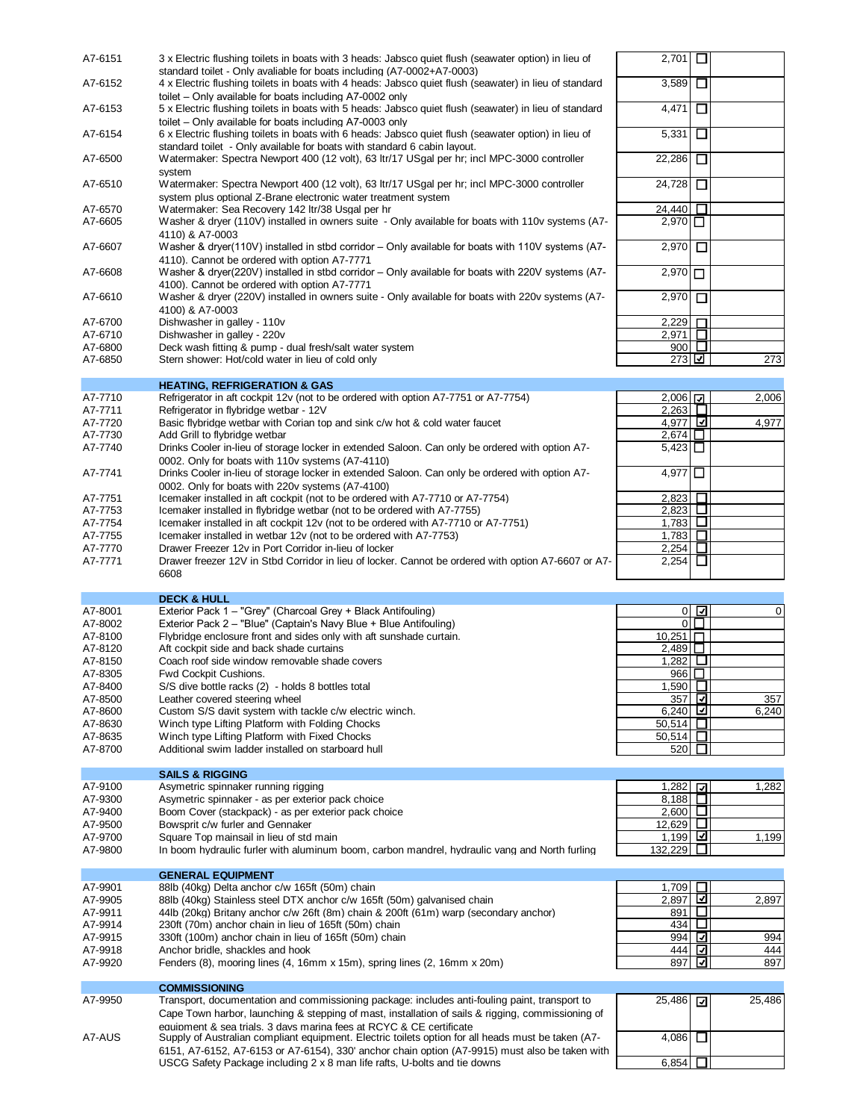| A7-6151            | 3 x Electric flushing toilets in boats with 3 heads: Jabsco quiet flush (seawater option) in lieu of                                                                             | 2,701                                | □           |        |
|--------------------|----------------------------------------------------------------------------------------------------------------------------------------------------------------------------------|--------------------------------------|-------------|--------|
| A7-6152            | standard toilet - Only avaliable for boats including (A7-0002+A7-0003)<br>4 x Electric flushing toilets in boats with 4 heads: Jabsco quiet flush (seawater) in lieu of standard | 3,589                                | □           |        |
|                    | toilet – Only available for boats including A7-0002 only                                                                                                                         |                                      |             |        |
| A7-6153            | 5 x Electric flushing toilets in boats with 5 heads: Jabsco quiet flush (seawater) in lieu of standard                                                                           | 4,471                                | □           |        |
|                    | toilet – Only available for boats including A7-0003 only                                                                                                                         |                                      |             |        |
| A7-6154            | 6 x Electric flushing toilets in boats with 6 heads: Jabsco quiet flush (seawater option) in lieu of                                                                             | 5,331                                | ◻           |        |
| A7-6500            | standard toilet - Only available for boats with standard 6 cabin layout.<br>Watermaker: Spectra Newport 400 (12 volt), 63 ltr/17 USgal per hr; incl MPC-3000 controller          | 22,286                               | □           |        |
|                    | system                                                                                                                                                                           |                                      |             |        |
| A7-6510            | Watermaker: Spectra Newport 400 (12 volt), 63 ltr/17 USgal per hr; incl MPC-3000 controller                                                                                      | 24,728                               | □           |        |
|                    | system plus optional Z-Brane electronic water treatment system                                                                                                                   |                                      |             |        |
| A7-6570<br>A7-6605 | Watermaker: Sea Recovery 142 ltr/38 Usgal per hr<br>Washer & dryer (110V) installed in owners suite - Only available for boats with 110v systems (A7-                            | 24,440<br>$2.970$ $\Pi$              | □           |        |
|                    | 4110) & A7-0003                                                                                                                                                                  |                                      |             |        |
| A7-6607            | Washer & dryer(110V) installed in stbd corridor – Only available for boats with 110V systems (A7-                                                                                | 2,970                                | □           |        |
|                    | 4110). Cannot be ordered with option A7-7771                                                                                                                                     |                                      |             |        |
| A7-6608            | Washer & dryer(220V) installed in stbd corridor – Only available for boats with 220V systems (A7-                                                                                | $2,970$ $\Box$                       |             |        |
| A7-6610            | 4100). Cannot be ordered with option A7-7771<br>Washer & dryer (220V) installed in owners suite - Only available for boats with 220v systems (A7-                                | 2,970                                | $\Box$      |        |
|                    | 4100) & A7-0003                                                                                                                                                                  |                                      |             |        |
| A7-6700            | Dishwasher in galley - 110v                                                                                                                                                      | 2,229                                | $\Box$      |        |
| A7-6710            | Dishwasher in galley - 220v                                                                                                                                                      | 2,971                                | $\Box$      |        |
| A7-6800            | Deck wash fitting & pump - dual fresh/salt water system                                                                                                                          |                                      | 900 $\Box$  |        |
| A7-6850            | Stern shower: Hot/cold water in lieu of cold only                                                                                                                                | 273 ☑                                |             | 273    |
|                    | <b>HEATING, REFRIGERATION &amp; GAS</b>                                                                                                                                          |                                      |             |        |
| A7-7710            | Refrigerator in aft cockpit 12v (not to be ordered with option A7-7751 or A7-7754)                                                                                               | $2,006$ $\boxed{7}$                  |             | 2,006  |
| A7-7711            | Refrigerator in flybridge wetbar - 12V                                                                                                                                           | $2,263$ $\Box$                       |             |        |
| A7-7720            | Basic flybridge wetbar with Corian top and sink c/w hot & cold water faucet                                                                                                      | 4,977 <b>□</b>                       |             | 4,977  |
| A7-7730            | Add Grill to flybridge wetbar                                                                                                                                                    | 2,674                                |             |        |
| A7-7740            | Drinks Cooler in-lieu of storage locker in extended Saloon. Can only be ordered with option A7-                                                                                  | 5,423                                |             |        |
| A7-7741            | 0002. Only for boats with 110v systems (A7-4110)<br>Drinks Cooler in-lieu of storage locker in extended Saloon. Can only be ordered with option A7-                              | $4,977$ <sup><math>\Box</math></sup> |             |        |
|                    | 0002. Only for boats with 220v systems (A7-4100)                                                                                                                                 |                                      |             |        |
| A7-7751            | Icemaker installed in aft cockpit (not to be ordered with A7-7710 or A7-7754)                                                                                                    | 2,823                                | □           |        |
| A7-7753            | Icemaker installed in flybridge wetbar (not to be ordered with A7-7755)                                                                                                          | 2,823                                |             |        |
| A7-7754            | Icemaker installed in aft cockpit 12v (not to be ordered with A7-7710 or A7-7751)                                                                                                | 1,783                                |             |        |
| A7-7755            | Icemaker installed in wetbar 12v (not to be ordered with A7-7753)                                                                                                                | 1,783 $\Box$                         |             |        |
| A7-7770            | Drawer Freezer 12v in Port Corridor in-lieu of locker                                                                                                                            | 2,254                                | □           |        |
| A7-7771            | Drawer freezer 12V in Stbd Corridor in lieu of locker. Cannot be ordered with option A7-6607 or A7-                                                                              | 2,254                                | □           |        |
|                    | 6608                                                                                                                                                                             |                                      |             |        |
|                    | <b>DECK &amp; HULL</b>                                                                                                                                                           |                                      |             |        |
| A7-8001            | Exterior Pack 1 - "Grey" (Charcoal Grey + Black Antifouling)                                                                                                                     |                                      | $0\sqrt{2}$ | 0      |
| A7-8002            | Exterior Pack 2 - "Blue" (Captain's Navy Blue + Blue Antifouling)                                                                                                                |                                      | $0\Box$     |        |
| A7-8100            | Flybridge enclosure front and sides only with aft sunshade curtain.                                                                                                              | $10,251$ $\Pi$                       |             |        |
| A7-8120<br>A7-8150 | Aft cockpit side and back shade curtains<br>Coach roof side window removable shade covers                                                                                        | 2,489<br>1,282                       | ⊔           |        |
| A7-8305            | Fwd Cockpit Cushions.                                                                                                                                                            | 966   $\Box$                         |             |        |
| A7-8400            | S/S dive bottle racks (2) - holds 8 bottles total                                                                                                                                | 1,590∣ ⊔                             |             |        |
| A7-8500            | Leather covered steering wheel                                                                                                                                                   | 357                                  | ⊡           | 357    |
| A7-8600            | Custom S/S davit system with tackle c/w electric winch.                                                                                                                          | 6,240 ⊡                              |             | 6,240  |
| A7-8630            | Winch type Lifting Platform with Folding Chocks                                                                                                                                  | 50,514                               | □           |        |
| A7-8635            | Winch type Lifting Platform with Fixed Chocks                                                                                                                                    | 50,514 ∐                             |             |        |
| A7-8700            | Additional swim ladder installed on starboard hull                                                                                                                               | 520                                  | □           |        |
|                    | <b>SAILS &amp; RIGGING</b>                                                                                                                                                       |                                      |             |        |
| A7-9100            | Asymetric spinnaker running rigging                                                                                                                                              | 1,282 $\sqrt{ }$                     |             | 1,282  |
| A7-9300            | Asymetric spinnaker - as per exterior pack choice                                                                                                                                | 8,188                                | □           |        |
| A7-9400            | Boom Cover (stackpack) - as per exterior pack choice                                                                                                                             | 2,600                                | $\Box$      |        |
| A7-9500            | Bowsprit c/w furler and Gennaker                                                                                                                                                 | 12,629                               | ப           |        |
| A7-9700            | Square Top mainsail in lieu of std main                                                                                                                                          | $1,199$ ⊡                            |             | 1,199  |
| A7-9800            | In boom hydraulic furler with aluminum boom, carbon mandrel, hydraulic vang and North furling                                                                                    | 132,229                              | $\Box$      |        |
|                    | <b>GENERAL EQUIPMENT</b>                                                                                                                                                         |                                      |             |        |
| A7-9901            | 88lb (40kg) Delta anchor c/w 165ft (50m) chain                                                                                                                                   | 1,709                                | Ц           |        |
| A7-9905            | 88lb (40kg) Stainless steel DTX anchor c/w 165ft (50m) galvanised chain                                                                                                          | 2,897                                | ⊡           | 2,897  |
| A7-9911            | 44lb (20kg) Britany anchor c/w 26ft (8m) chain & 200ft (61m) warp (secondary anchor)                                                                                             | 891                                  | $\Box$      |        |
| A7-9914            | 230ft (70m) anchor chain in lieu of 165ft (50m) chain                                                                                                                            | 434                                  | ⊔           |        |
| A7-9915            | 330ft (100m) anchor chain in lieu of 165ft (50m) chain                                                                                                                           | 994                                  | ⊡           | 994    |
| A7-9918            | Anchor bridle, shackles and hook                                                                                                                                                 | 444                                  | ☑           | 444    |
| A7-9920            | Fenders (8), mooring lines (4, 16mm x 15m), spring lines (2, 16mm x 20m)                                                                                                         | 897                                  | ⊡           | 897    |
|                    | <b>COMMISSIONING</b>                                                                                                                                                             |                                      |             |        |
| A7-9950            | Transport, documentation and commissioning package: includes anti-fouling paint, transport to                                                                                    | 25,486                               | ⊡           | 25,486 |
|                    | Cape Town harbor, launching & stepping of mast, installation of sails & rigging, commissioning of                                                                                |                                      |             |        |
|                    | equipment & sea trials. 3 days marina fees at RCYC & CE certificate                                                                                                              |                                      |             |        |
| A7-AUS             | Supply of Australian compliant equipment. Electric toilets option for all heads must be taken (A7-                                                                               | 4,086                                | □           |        |
|                    | 6151, A7-6152, A7-6153 or A7-6154), 330' anchor chain option (A7-9915) must also be taken with                                                                                   |                                      |             |        |

USCG Safety Package including 2 x 8 man life rafts, U-bolts and tie downs **6,854** the community of  $6,854$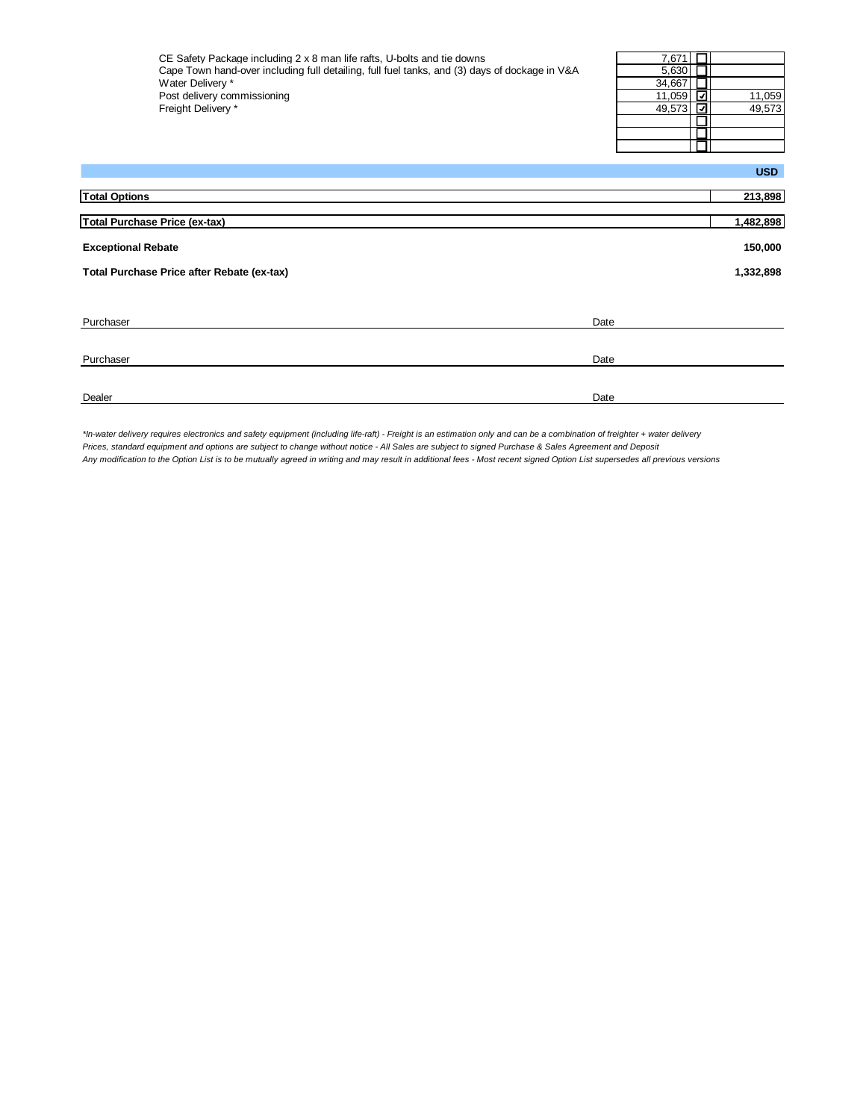| CE Safety Package including 2 x 8 man life rafts, U-bolts and tie downs                       | 7,671 $\Gamma$ |        |
|-----------------------------------------------------------------------------------------------|----------------|--------|
| Cape Town hand-over including full detailing, full fuel tanks, and (3) days of dockage in V&A | $5.630$ $\Box$ |        |
| Water Deliverv *                                                                              | 34.667         |        |
| Post delivery commissioning                                                                   | 11.059 [기      | 11.059 |
| Freight Delivery *                                                                            | 49.573 [기      | 49.573 |

| 7,671  |        |
|--------|--------|
| 5,630  |        |
| 34,667 |        |
| 11,059 | 11,059 |
| 49.573 | 49,573 |
|        |        |
|        |        |
|        |        |

|                                            | <b>USD</b> |
|--------------------------------------------|------------|
| <b>Total Options</b>                       | 213,898    |
| <b>Total Purchase Price (ex-tax)</b>       | 1,482,898  |
| <b>Exceptional Rebate</b>                  | 150,000    |
| Total Purchase Price after Rebate (ex-tax) | 1,332,898  |
|                                            |            |
| Purchaser<br>Date                          |            |
| Purchaser<br>Date                          |            |
| Dealer<br>Date                             |            |

*\*In-water delivery requires electronics and safety equipment (including life-raft) - Freight is an estimation only and can be a combination of freighter + water delivery Prices, standard equipment and options are subject to change without notice - All Sales are subject to signed Purchase & Sales Agreement and Deposit Any modification to the Option List is to be mutually agreed in writing and may result in additional fees - Most recent signed Option List supersedes all previous versions*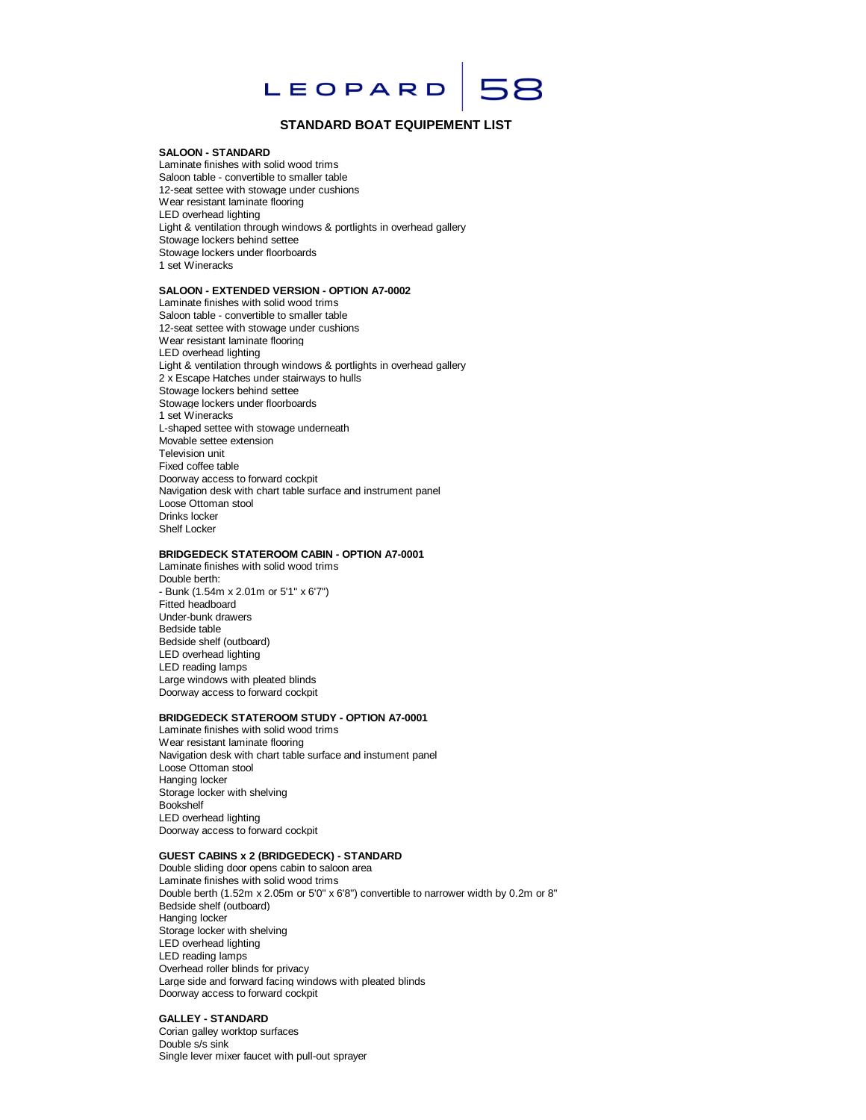

## **STANDARD BOAT EQUIPEMENT LIST**

#### **SALOON - STANDARD**

Laminate finishes with solid wood trims Saloon table - convertible to smaller table 12-seat settee with stowage under cushions Wear resistant laminate flooring LED overhead lighting Light & ventilation through windows & portlights in overhead gallery Stowage lockers behind settee Stowage lockers under floorboards 1 set Wineracks

### **SALOON - EXTENDED VERSION - OPTION A7-0002**

Laminate finishes with solid wood trims Saloon table - convertible to smaller table 12-seat settee with stowage under cushions Wear resistant laminate flooring LED overhead lighting Light & ventilation through windows & portlights in overhead gallery 2 x Escape Hatches under stairways to hulls Stowage lockers behind settee Stowage lockers under floorboards 1 set Wineracks L-shaped settee with stowage underneath Movable settee extension Television unit Fixed coffee table Doorway access to forward cockpit Navigation desk with chart table surface and instrument panel Loose Ottoman stool Drinks locker Shelf Locker

### **BRIDGEDECK STATEROOM CABIN - OPTION A7-0001**

Laminate finishes with solid wood trims Double berth: - Bunk (1.54m x 2.01m or 5'1" x 6'7") Fitted headboard Under-bunk drawers Bedside table Bedside shelf (outboard) LED overhead lighting LED reading lamps Large windows with pleated blinds Doorway access to forward cockpit

#### **BRIDGEDECK STATEROOM STUDY - OPTION A7-0001**

Laminate finishes with solid wood trims Wear resistant laminate flooring Navigation desk with chart table surface and instument panel Loose Ottoman stool Hanging locker Storage locker with shelving Bookshelf LED overhead lighting Doorway access to forward cockpit

## **GUEST CABINS x 2 (BRIDGEDECK) - STANDARD**

Double sliding door opens cabin to saloon area Laminate finishes with solid wood trims Double berth (1.52m x 2.05m or 5'0" x 6'8") convertible to narrower width by 0.2m or 8" Bedside shelf (outboard) Hanging locker Storage locker with shelving LED overhead lighting LED reading lamps Overhead roller blinds for privacy Large side and forward facing windows with pleated blinds Doorway access to forward cockpit

### **GALLEY - STANDARD**

Corian galley worktop surfaces Double s/s sink Single lever mixer faucet with pull-out sprayer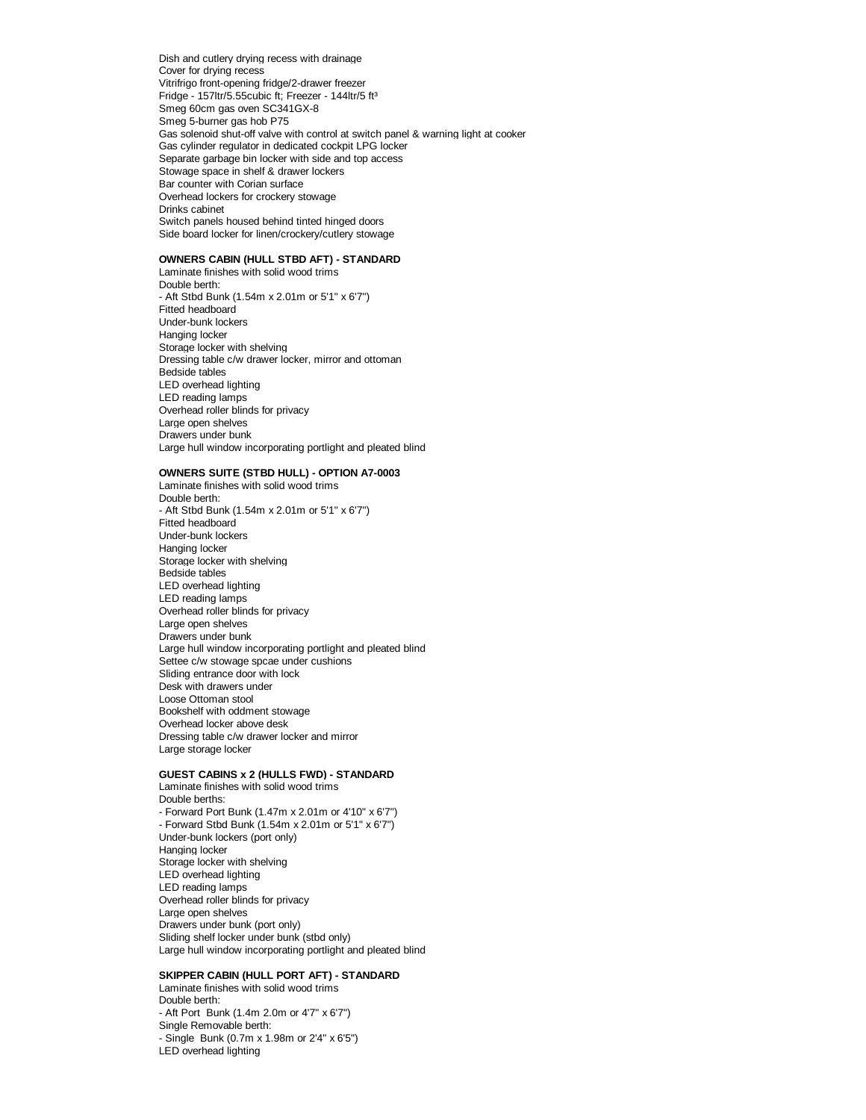Dish and cutlery drying recess with drainage Cover for drying recess Vitrifrigo front-opening fridge/2-drawer freezer Fridge - 157ltr/5.55cubic ft; Freezer - 144ltr/5 ft3 Smeg 60cm gas oven SC341GX-8 Smeg 5-burner gas hob P75 Gas solenoid shut-off valve with control at switch panel & warning light at cooker Gas cylinder regulator in dedicated cockpit LPG locker Separate garbage bin locker with side and top access Stowage space in shelf & drawer lockers Bar counter with Corian surface Overhead lockers for crockery stowage Drinks cabinet Switch panels housed behind tinted hinged doors Side board locker for linen/crockery/cutlery stowage

## **OWNERS CABIN (HULL STBD AFT) - STANDARD**

Laminate finishes with solid wood trims Double berth: - Aft Stbd Bunk (1.54m x 2.01m or 5'1" x 6'7") Fitted headboard Under-bunk lockers Hanging locker Storage locker with shelving Dressing table c/w drawer locker, mirror and ottoman Bedside tables LED overhead lighting LED reading lamps Overhead roller blinds for privacy Large open shelves Drawers under bunk Large hull window incorporating portlight and pleated blind

#### **OWNERS SUITE (STBD HULL) - OPTION A7-0003**

Laminate finishes with solid wood trims Double berth: - Aft Stbd Bunk (1.54m x 2.01m or 5'1" x 6'7") Fitted headboard Under-bunk lockers Hanging locker Storage locker with shelving Bedside tables LED overhead lighting LED reading lamps Overhead roller blinds for privacy Large open shelves Drawers under bunk Large hull window incorporating portlight and pleated blind Settee c/w stowage spcae under cushions Sliding entrance door with lock Desk with drawers under Loose Ottoman stool Bookshelf with oddment stowage Overhead locker above desk Dressing table c/w drawer locker and mirror Large storage locker

## **GUEST CABINS x 2 (HULLS FWD) - STANDARD**

Laminate finishes with solid wood trims Double berths: - Forward Port Bunk (1.47m x 2.01m or 4'10" x 6'7") - Forward Stbd Bunk (1.54m x 2.01m or 5'1" x 6'7") Under-bunk lockers (port only) Hanging locker Storage locker with shelving LED overhead lighting LED reading lamps Overhead roller blinds for privacy Large open shelves Drawers under bunk (port only) Sliding shelf locker under bunk (stbd only) Large hull window incorporating portlight and pleated blind

#### **SKIPPER CABIN (HULL PORT AFT) - STANDARD**

Laminate finishes with solid wood trims Double berth: - Aft Port Bunk (1.4m 2.0m or 4'7" x 6'7") Single Removable berth: - Single Bunk (0.7m x 1.98m or 2'4" x 6'5") LED overhead lighting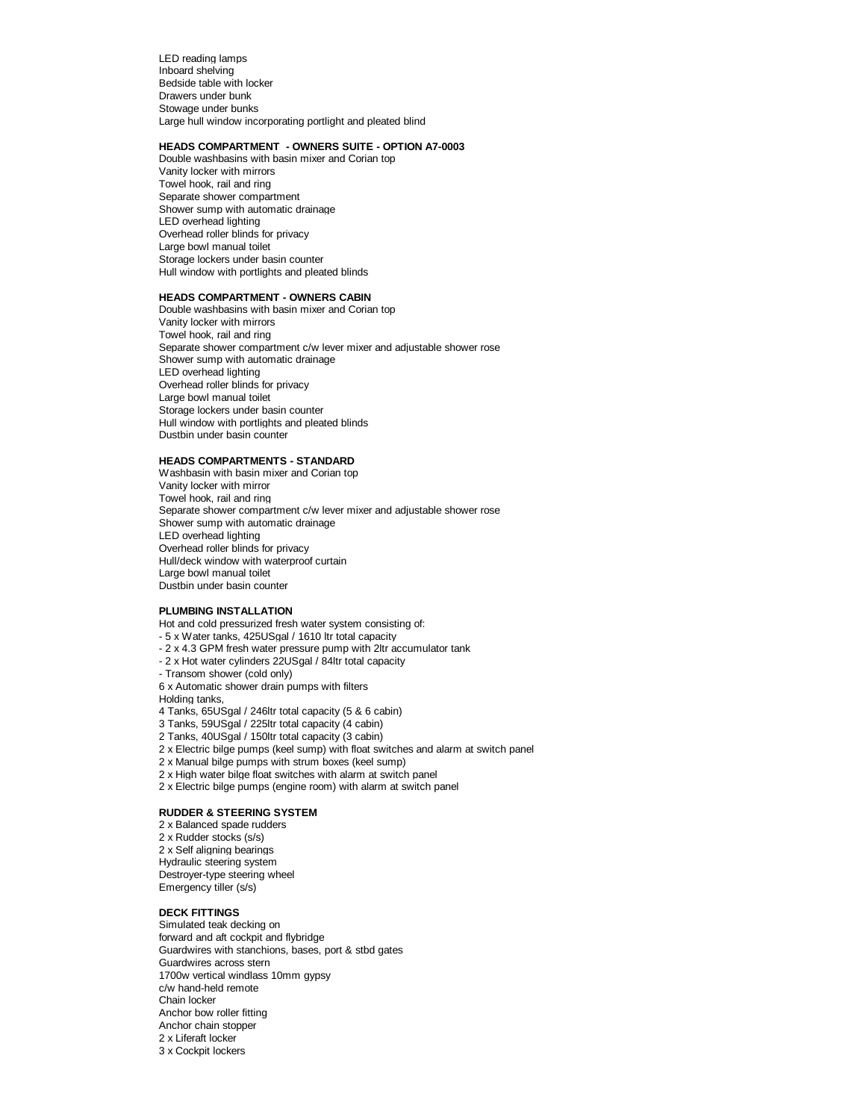LED reading lamps Inboard shelving Bedside table with locker Drawers under bunk Stowage under bunks Large hull window incorporating portlight and pleated blind

### **HEADS COMPARTMENT - OWNERS SUITE - OPTION A7-0003**

Double washbasins with basin mixer and Corian top Vanity locker with mirrors Towel hook, rail and ring Separate shower compartment Shower sump with automatic drainage LED overhead lighting Overhead roller blinds for privacy Large bowl manual toilet Storage lockers under basin counter Hull window with portlights and pleated blinds

## **HEADS COMPARTMENT - OWNERS CABIN**

Double washbasins with basin mixer and Corian top Vanity locker with mirrors Towel hook, rail and ring Separate shower compartment c/w lever mixer and adjustable shower rose Shower sump with automatic drainage LED overhead lighting Overhead roller blinds for privacy Large bowl manual toilet Storage lockers under basin counter Hull window with portlights and pleated blinds Dustbin under basin counter

## **HEADS COMPARTMENTS - STANDARD**

Washbasin with basin mixer and Corian top Vanity locker with mirror Towel hook, rail and ring Separate shower compartment c/w lever mixer and adjustable shower rose Shower sump with automatic drainage LED overhead lighting Overhead roller blinds for privacy Hull/deck window with waterproof curtain Large bowl manual toilet Dustbin under basin counter

#### **PLUMBING INSTALLATION**

Hot and cold pressurized fresh water system consisting of:

- 5 x Water tanks, 425USgal / 1610 ltr total capacity

- 2 x 4.3 GPM fresh water pressure pump with 2ltr accumulator tank
- 2 x Hot water cylinders 22USgal / 84ltr total capacity
- Transom shower (cold only)

6 x Automatic shower drain pumps with filters

Holding tanks,

- 4 Tanks, 65USgal / 246ltr total capacity (5 & 6 cabin)
- 3 Tanks, 59USgal / 225ltr total capacity (4 cabin)
- 2 Tanks, 40USgal / 150ltr total capacity (3 cabin)
- 2 x Electric bilge pumps (keel sump) with float switches and alarm at switch panel
- 2 x Manual bilge pumps with strum boxes (keel sump)
- 2 x High water bilge float switches with alarm at switch panel
- 2 x Electric bilge pumps (engine room) with alarm at switch panel

### **RUDDER & STEERING SYSTEM**

2 x Balanced spade rudders 2 x Rudder stocks (s/s) 2 x Self aligning bearings Hydraulic steering system Destroyer-type steering wheel Emergency tiller (s/s)

## **DECK FITTINGS**

Simulated teak decking on forward and aft cockpit and flybridge Guardwires with stanchions, bases, port & stbd gates Guardwires across stern 1700w vertical windlass 10mm gypsy c/w hand-held remote Chain locker Anchor bow roller fitting Anchor chain stopper 2 x Liferaft locker 3 x Cockpit lockers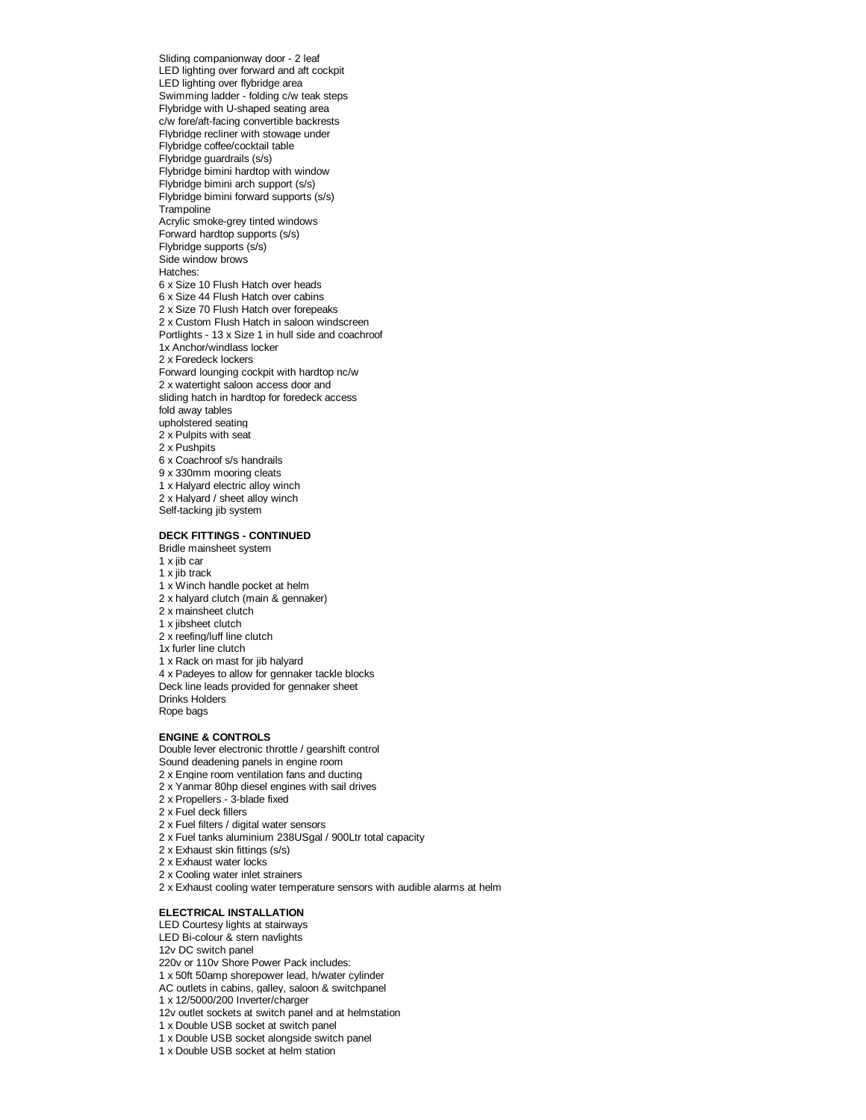Sliding companionway door - 2 leaf LED lighting over forward and aft cockpit LED lighting over flybridge area Swimming ladder - folding c/w teak steps Flybridge with U-shaped seating area c/w fore/aft-facing convertible backrests Flybridge recliner with stowage under Flybridge coffee/cocktail table Flybridge guardrails (s/s) Flybridge bimini hardtop with window Flybridge bimini arch support (s/s) Flybridge bimini forward supports (s/s) **Trampoline** Acrylic smoke-grey tinted windows Forward hardtop supports (s/s) Flybridge supports (s/s) Side window brows Hatches: 6 x Size 10 Flush Hatch over heads 6 x Size 44 Flush Hatch over cabins 2 x Size 70 Flush Hatch over forepeaks 2 x Custom Flush Hatch in saloon windscreen Portlights - 13 x Size 1 in hull side and coachroof 1x Anchor/windlass locker 2 x Foredeck lockers Forward lounging cockpit with hardtop nc/w 2 x watertight saloon access door and sliding hatch in hardtop for foredeck access fold away tables upholstered seating 2 x Pulpits with seat 2 x Pushpits 6 x Coachroof s/s handrails 9 x 330mm mooring cleats 1 x Halyard electric alloy winch 2 x Halyard / sheet alloy winch Self-tacking jib system

# **DECK FITTINGS - CONTINUED**

Bridle mainsheet system

- 1 x jib car 1 x jib track
- 
- 1 x Winch handle pocket at helm 2 x halyard clutch (main & gennaker)
- 2 x mainsheet clutch
- 1 x jibsheet clutch
- 2 x reefing/luff line clutch
- 1x furler line clutch
- 1 x Rack on mast for jib halyard
- 4 x Padeyes to allow for gennaker tackle blocks
- Deck line leads provided for gennaker sheet Drinks Holders
- Rope bags

#### **ENGINE & CONTROLS**

Double lever electronic throttle / gearshift control Sound deadening panels in engine room

- 2 x Engine room ventilation fans and ducting
- 2 x Yanmar 80hp diesel engines with sail drives
- 2 x Propellers 3-blade fixed
- 2 x Fuel deck fillers
- 2 x Fuel filters / digital water sensors
- 2 x Fuel tanks aluminium 238USgal / 900Ltr total capacity
- 2 x Exhaust skin fittings (s/s)
- 2 x Exhaust water locks
- 2 x Cooling water inlet strainers
- 2 x Exhaust cooling water temperature sensors with audible alarms at helm

## **ELECTRICAL INSTALLATION**

LED Courtesy lights at stairways

- LED Bi-colour & stern navlights
- 12v DC switch panel
- 220v or 110v Shore Power Pack includes:
- 1 x 50ft 50amp shorepower lead, h/water cylinder
- AC outlets in cabins, galley, saloon & switchpanel
- 1 x 12/5000/200 Inverter/charger
- 12v outlet sockets at switch panel and at helmstation
- 1 x Double USB socket at switch panel
- 1 x Double USB socket alongside switch panel
- 1 x Double USB socket at helm station